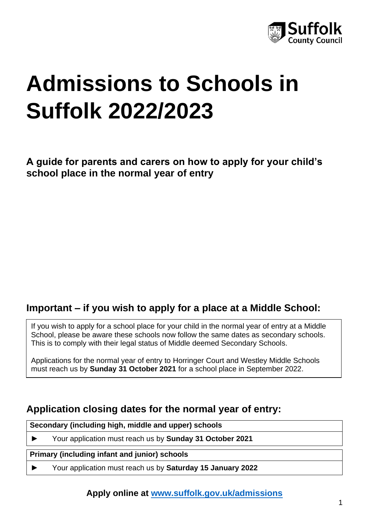

# **Admissions to Schools in Suffolk 2022/2023**

**A guide for parents and carers on how to apply for your child's school place in the normal year of entry**

## **Important – if you wish to apply for a place at a Middle School:**

If you wish to apply for a school place for your child in the normal year of entry at a Middle School, please be aware these schools now follow the same dates as secondary schools. This is to comply with their legal status of Middle deemed Secondary Schools.

Applications for the normal year of entry to Horringer Court and Westley Middle Schools must reach us by **Sunday 31 October 2021** for a school place in September 2022.

## **Application closing dates for the normal year of entry:**

**Secondary (including high, middle and upper) schools**

► Your application must reach us by **Sunday 31 October 2021**

**Primary (including infant and junior) schools**

► Your application must reach us by **Saturday 15 January 2022**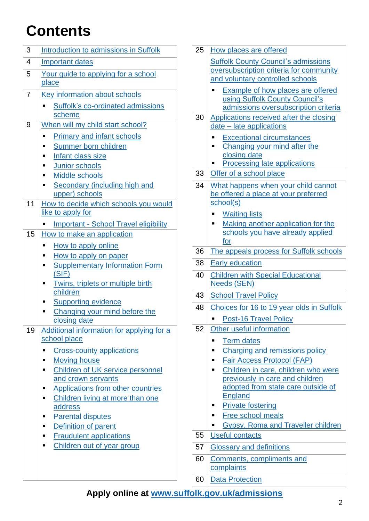## **Contents**

| 3  | Introduction to admissions in Suffolk                              |
|----|--------------------------------------------------------------------|
|    |                                                                    |
| 4  | <b>Important dates</b>                                             |
| 5  | Your guide to applying for a school                                |
|    | place                                                              |
| 7  | Key information about schools                                      |
|    | Suffolk's co-ordinated admissions                                  |
|    | scheme                                                             |
| 9  | When will my child start school?                                   |
|    | <b>Primary and infant schools</b>                                  |
|    | Summer born children<br>Ξ                                          |
|    | Infant class size                                                  |
|    | Junior schools                                                     |
|    | <b>Middle schools</b>                                              |
|    | Secondary (including high and                                      |
|    | upper) schools                                                     |
| 11 | How to decide which schools you would<br>like to apply for         |
|    |                                                                    |
|    | <b>Important - School Travel eligibility</b>                       |
| 15 | How to make an application                                         |
|    | How to apply online<br>п                                           |
|    | How to apply on paper<br>п                                         |
|    | <b>Supplementary Information Form</b><br>(SIF)                     |
|    | Twins, triplets or multiple birth<br>п                             |
|    | children                                                           |
|    | <b>Supporting evidence</b><br>п                                    |
|    | Changing your mind before the                                      |
|    | closing date                                                       |
| 19 | Additional information for applying for a                          |
|    | school place                                                       |
|    | <b>Cross-county applications</b>                                   |
|    | <b>Moving house</b>                                                |
|    | <b>Children of UK service personnel</b><br>п<br>and crown servants |
|    | <b>Applications from other countries</b>                           |
|    | Children living at more than one                                   |
|    | address                                                            |
|    | <b>Parental disputes</b><br>ш                                      |
|    | Definition of parent<br>п                                          |
|    | <b>Fraudulent applications</b>                                     |
|    | Children out of year group<br>п                                    |
|    |                                                                    |
|    |                                                                    |

| 25 | How places are offered                                                     |
|----|----------------------------------------------------------------------------|
|    | <b>Suffolk County Council's admissions</b>                                 |
|    | oversubscription criteria for community                                    |
|    | and voluntary controlled schools                                           |
|    | <b>Example of how places are offered</b><br>using Suffolk County Council's |
|    | admissions oversubscription criteria                                       |
| 30 | Applications received after the closing                                    |
|    | date – late applications                                                   |
|    | <b>Exceptional circumstances</b>                                           |
|    | Changing your mind after the<br>closing date                               |
|    | Processing late applications                                               |
| 33 | Offer of a school place                                                    |
| 34 | What happens when your child cannot                                        |
|    | be offered a place at your preferred                                       |
|    | school(s)                                                                  |
|    | <b>Waiting lists</b>                                                       |
|    | Making another application for the<br>schools you have already applied     |
|    | for                                                                        |
| 36 | The appeals process for Suffolk schools                                    |
| 38 | <b>Early education</b>                                                     |
| 40 | <b>Children with Special Educational</b>                                   |
|    | <b>Needs (SEN)</b>                                                         |
| 43 | <b>School Travel Policy</b>                                                |
| 48 | Choices for 16 to 19 year olds in Suffolk                                  |
|    | <b>Post-16 Travel Policy</b><br>▪                                          |
| 52 | Other useful information                                                   |
|    | <b>Term dates</b>                                                          |
|    | Charging and remissions policy                                             |
|    | Fair Access Protocol (FAP)                                                 |
|    | Children in care, children who were<br>previously in care and children     |
|    | adopted from state care outside of                                         |
|    | <b>England</b>                                                             |
|    | <b>Private fostering</b>                                                   |
|    | <b>Free school meals</b>                                                   |
| 55 | <b>Gypsy, Roma and Traveller children</b><br><b>Useful contacts</b>        |
|    |                                                                            |
| 57 | <b>Glossary and definitions</b>                                            |
| 60 | Comments, compliments and<br>complaints                                    |
|    |                                                                            |

60 [Data Protection](#page-59-1)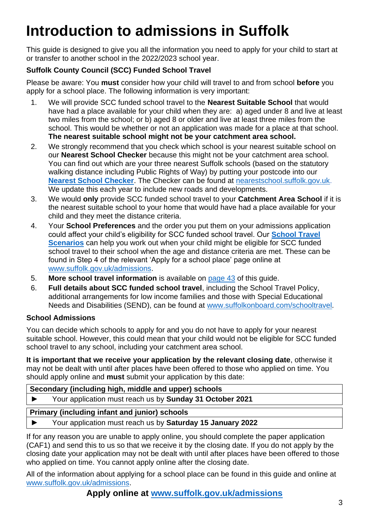## <span id="page-2-0"></span>**Introduction to admissions in Suffolk**

This guide is designed to give you all the information you need to apply for your child to start at or transfer to another school in the 2022/2023 school year.

### **Suffolk County Council (SCC) Funded School Travel**

Please be aware: You **must** consider how your child will travel to and from school **before** you apply for a school place. The following information is very important:

- 1. We will provide SCC funded school travel to the **Nearest Suitable School** that would have had a place available for your child when they are: a) aged under 8 and live at least two miles from the school; or b) aged 8 or older and live at least three miles from the school. This would be whether or not an application was made for a place at that school. **The nearest suitable school might not be your catchment area school.**
- 2. We strongly recommend that you check which school is your nearest suitable school on our **Nearest School Checker** because this might not be your catchment area school. You can find out which are your three nearest Suffolk schools (based on the statutory walking distance including Public Rights of Way) by putting your postcode into our **[Nearest School Checker](http://nearestschool.suffolk.gov.uk/)**. The Checker can be found at [nearestschool.suffolk.gov.uk.](http://nearestschool.suffolk.gov.uk/) We update this each year to include new roads and developments.
- 3. We would **only** provide SCC funded school travel to your **Catchment Area School** if it is the nearest suitable school to your home that would have had a place available for your child and they meet the distance criteria.
- 4. Your **School Preferences** and the order you put them on your admissions application could affect your child's eligibility for SCC funded school travel. Our **[School Travel](https://www.suffolk.gov.uk/assets/Children-families-and-learning/schools/Admissions/Scenarios-for-admissions-and-travel-2022-2023.pdf)  [Scenarios](https://www.suffolk.gov.uk/assets/Children-families-and-learning/schools/Admissions/Scenarios-for-admissions-and-travel-2022-2023.pdf)** can help you work out when your child might be eligible for SCC funded school travel to their school when the age and distance criteria are met. These can be found in Step 4 of the relevant 'Apply for a school place' page online at [www.suffolk.gov.uk/admissions.](http://www.suffolk.gov.uk/admissions)
- 5. **More school travel information** is available on [page 43](#page-42-0) of this guide.
- 6. **Full details about SCC funded school travel**, including the School Travel Policy, additional arrangements for low income families and those with Special Educational Needs and Disabilities (SEND), can be found at [www.suffolkonboard.com/schooltravel](http://www.suffolkonboard.com/schooltravel).

### **School Admissions**

You can decide which schools to apply for and you do not have to apply for your nearest suitable school. However, this could mean that your child would not be eligible for SCC funded school travel to any school, including your catchment area school.

**It is important that we receive your application by the relevant closing date**, otherwise it may not be dealt with until after places have been offered to those who applied on time. You should apply online and **must** submit your application by this date:

|--|

► Your application must reach us by **Sunday 31 October 2021**

### **Primary (including infant and junior) schools**

► Your application must reach us by **Saturday 15 January 2022**

If for any reason you are unable to apply online, you should complete the paper application (CAF1) and send this to us so that we receive it by the closing date. If you do not apply by the closing date your application may not be dealt with until after places have been offered to those who applied on time. You cannot apply online after the closing date.

All of the information about applying for a school place can be found in this guide and online at [www.suffolk.gov.uk/admissions.](http://www.suffolk.gov.uk/admissions)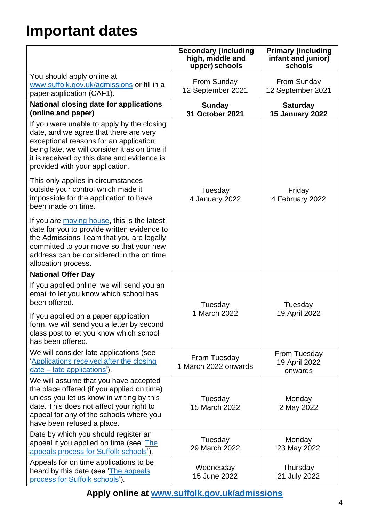## <span id="page-3-0"></span>**Important dates**

|                                                                                                                                                                                                                                                                   | Secondary (including<br>high, middle and<br>upper) schools | <b>Primary (including</b><br>infant and junior)<br>schools |
|-------------------------------------------------------------------------------------------------------------------------------------------------------------------------------------------------------------------------------------------------------------------|------------------------------------------------------------|------------------------------------------------------------|
| You should apply online at<br>www.suffolk.gov.uk/admissions or fill in a<br>paper application (CAF1).                                                                                                                                                             | From Sunday<br>12 September 2021                           | From Sunday<br>12 September 2021                           |
| <b>National closing date for applications</b><br>(online and paper)                                                                                                                                                                                               | <b>Sunday</b><br><b>31 October 2021</b>                    | <b>Saturday</b><br><b>15 January 2022</b>                  |
| If you were unable to apply by the closing<br>date, and we agree that there are very<br>exceptional reasons for an application<br>being late, we will consider it as on time if<br>it is received by this date and evidence is<br>provided with your application. |                                                            |                                                            |
| This only applies in circumstances<br>outside your control which made it<br>impossible for the application to have<br>been made on time.                                                                                                                          | Tuesday<br>4 January 2022                                  | Friday<br>4 February 2022                                  |
| If you are moving house, this is the latest<br>date for you to provide written evidence to<br>the Admissions Team that you are legally<br>committed to your move so that your new<br>address can be considered in the on time<br>allocation process.              |                                                            |                                                            |
| <b>National Offer Day</b>                                                                                                                                                                                                                                         |                                                            |                                                            |
| If you applied online, we will send you an<br>email to let you know which school has<br>been offered.<br>If you applied on a paper application                                                                                                                    | Tuesday<br>1 March 2022                                    | Tuesday<br>19 April 2022                                   |
| form, we will send you a letter by second<br>class post to let you know which school<br>has been offered.                                                                                                                                                         |                                                            |                                                            |
| We will consider late applications (see<br>'Applications received after the closing<br>date - late applications').                                                                                                                                                | From Tuesday<br>1 March 2022 onwards                       | From Tuesday<br>19 April 2022<br>onwards                   |
| We will assume that you have accepted<br>the place offered (if you applied on time)<br>unless you let us know in writing by this<br>date. This does not affect your right to<br>appeal for any of the schools where you<br>have been refused a place.             | Tuesday<br>15 March 2022                                   | Monday<br>2 May 2022                                       |
| Date by which you should register an<br>appeal if you applied on time (see 'The<br>appeals process for Suffolk schools').                                                                                                                                         | Tuesday<br>29 March 2022                                   | Monday<br>23 May 2022                                      |
| Appeals for on time applications to be<br>heard by this date (see The appeals<br>process for Suffolk schools').                                                                                                                                                   | Wednesday<br>15 June 2022                                  | Thursday<br>21 July 2022                                   |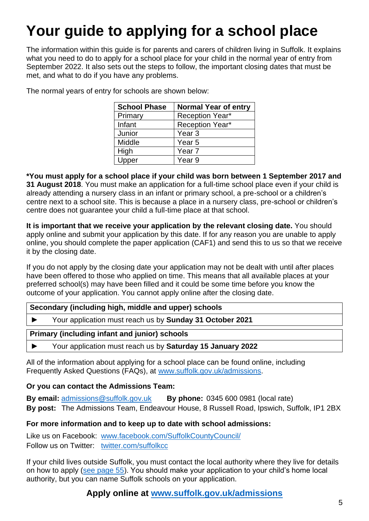## <span id="page-4-0"></span>**Your guide to applying for a school place**

The information within this guide is for parents and carers of children living in Suffolk. It explains what you need to do to apply for a school place for your child in the normal year of entry from September 2022. It also sets out the steps to follow, the important closing dates that must be met, and what to do if you have any problems.

| <b>School Phase</b> | <b>Normal Year of entry</b> |
|---------------------|-----------------------------|
| Primary             | <b>Reception Year*</b>      |
| Infant              | <b>Reception Year*</b>      |
| Junior              | Year <sub>3</sub>           |
| Middle              | Year 5                      |
| High                | Year <sub>7</sub>           |
| Upper               | Year 9                      |

The normal years of entry for schools are shown below:

**\*You must apply for a school place if your child was born between 1 September 2017 and 31 August 2018**. You must make an application for a full-time school place even if your child is already attending a nursery class in an infant or primary school, a pre-school or a children's centre next to a school site. This is because a place in a nursery class, pre-school or children's centre does not guarantee your child a full-time place at that school.

**It is important that we receive your application by the relevant closing date.** You should apply online and submit your application by this date. If for any reason you are unable to apply online, you should complete the paper application (CAF1) and send this to us so that we receive it by the closing date.

If you do not apply by the closing date your application may not be dealt with until after places have been offered to those who applied on time. This means that all available places at your preferred school(s) may have been filled and it could be some time before you know the outcome of your application. You cannot apply online after the closing date.

| Secondary (including high, middle and upper) schools |                                                            |
|------------------------------------------------------|------------------------------------------------------------|
|                                                      | Your application must reach us by Sunday 31 October 2021   |
|                                                      | Primary (including infant and junior) schools              |
|                                                      | Your application must reach us by Saturday 15 January 2022 |

All of the information about applying for a school place can be found online, including Frequently Asked Questions (FAQs), at [www.suffolk.gov.uk/admissions.](http://www.suffolk.gov.uk/admissions)

#### **Or you can contact the Admissions Team:**

**By email:** [admissions@suffolk.gov.uk](mailto:admissions@suffolk.gov.uk) **By phone:** 0345 600 0981 (local rate) **By post:** The Admissions Team, Endeavour House, 8 Russell Road, Ipswich, Suffolk, IP1 2BX

#### **For more information and to keep up to date with school admissions:**

Like us on Facebook: [www.facebook.com/SuffolkCountyCouncil/](http://www.facebook.com/SuffolkCountyCouncil/) Follow us on Twitter: [twitter.com/suffolkcc](http://twitter.com/suffolkcc)

If your child lives outside Suffolk, you must contact the local authority where they live for details on how to apply (see [page 55\)](#page-54-1). You should make your application to your child's home local authority, but you can name Suffolk schools on your application.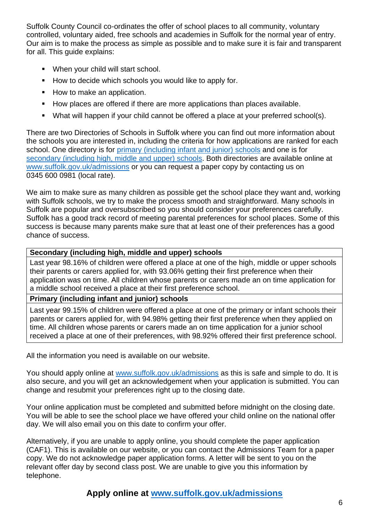Suffolk County Council co-ordinates the offer of school places to all community, voluntary controlled, voluntary aided, free schools and academies in Suffolk for the normal year of entry. Our aim is to make the process as simple as possible and to make sure it is fair and transparent for all. This quide explains:

- When your child will start school.
- How to decide which schools you would like to apply for.
- How to make an application.
- How places are offered if there are more applications than places available.
- What will happen if your child cannot be offered a place at your preferred school(s).

There are two Directories of Schools in Suffolk where you can find out more information about the schools you are interested in, including the criteria for how applications are ranked for each school. One directory is for [primary \(including infant and junior\)](https://www.suffolk.gov.uk/assets/Children-families-and-learning/schools/Admissions/Directory-of-Schools-in-Suffolk-Primary-2022-2023.pdf) schools and one is for [secondary \(including high, middle](https://www.suffolk.gov.uk/assets/Children-families-and-learning/schools/Admissions/Directory-of-Schools-in-Suffolk-Secondary-2022-2023.pdf) and upper) schools. Both directories are available online at [www.suffolk.gov.uk/admissions](http://www.suffolk.gov.uk/admissions) or you can request a paper copy by contacting us on 0345 600 0981 (local rate).

We aim to make sure as many children as possible get the school place they want and, working with Suffolk schools, we try to make the process smooth and straightforward. Many schools in Suffolk are popular and oversubscribed so you should consider your preferences carefully. Suffolk has a good track record of meeting parental preferences for school places. Some of this success is because many parents make sure that at least one of their preferences has a good chance of success.

#### **Secondary (including high, middle and upper) schools**

Last year 98.16% of children were offered a place at one of the high, middle or upper schools their parents or carers applied for, with 93.06% getting their first preference when their application was on time. All children whose parents or carers made an on time application for a middle school received a place at their first preference school.

**Primary (including infant and junior) schools**

Last year 99.15% of children were offered a place at one of the primary or infant schools their parents or carers applied for, with 94.98% getting their first preference when they applied on time. All children whose parents or carers made an on time application for a junior school received a place at one of their preferences, with 98.92% offered their first preference school.

All the information you need is available on our website.

You should apply online at [www.suffolk.gov.uk/admissions](http://www.suffolk.gov.uk/admissions) as this is safe and simple to do. It is also secure, and you will get an acknowledgement when your application is submitted. You can change and resubmit your preferences right up to the closing date.

Your online application must be completed and submitted before midnight on the closing date. You will be able to see the school place we have offered your child online on the national offer day. We will also email you on this date to confirm your offer.

Alternatively, if you are unable to apply online, you should complete the paper application (CAF1). This is available on our website, or you can contact the Admissions Team for a paper copy. We do not acknowledge paper application forms. A letter will be sent to you on the relevant offer day by second class post. We are unable to give you this information by telephone.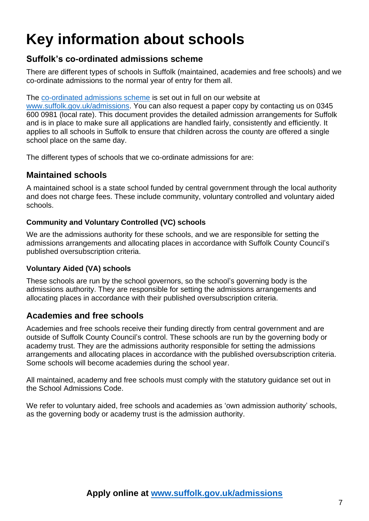## <span id="page-6-0"></span>**Key information about schools**

## <span id="page-6-1"></span>**Suffolk's co-ordinated admissions scheme**

There are different types of schools in Suffolk (maintained, academies and free schools) and we co-ordinate admissions to the normal year of entry for them all.

The [co-ordinated admissions scheme](https://www.suffolk.gov.uk/assets/Children-families-and-learning/schools/2022-2023-Admissions-policies-inc-SCC/Suffolk-CC-Determined-Admission-Arrangements-2022-2023.pdf) is set out in full on our website at

[www.suffolk.gov.uk/admissions.](http://www.suffolk.gov.uk/admissions) You can also request a paper copy by contacting us on 0345 600 0981 (local rate). This document provides the detailed admission arrangements for Suffolk and is in place to make sure all applications are handled fairly, consistently and efficiently. It applies to all schools in Suffolk to ensure that children across the county are offered a single school place on the same day.

The different types of schools that we co-ordinate admissions for are:

#### **Maintained schools**

A maintained school is a state school funded by central government through the local authority and does not charge fees. These include community, voluntary controlled and voluntary aided schools.

#### **Community and Voluntary Controlled (VC) schools**

We are the admissions authority for these schools, and we are responsible for setting the admissions arrangements and allocating places in accordance with Suffolk County Council's published oversubscription criteria.

#### **Voluntary Aided (VA) schools**

These schools are run by the school governors, so the school's governing body is the admissions authority. They are responsible for setting the admissions arrangements and allocating places in accordance with their published oversubscription criteria.

### **Academies and free schools**

Academies and free schools receive their funding directly from central government and are outside of Suffolk County Council's control. These schools are run by the governing body or academy trust. They are the admissions authority responsible for setting the admissions arrangements and allocating places in accordance with the published oversubscription criteria. Some schools will become academies during the school year.

All maintained, academy and free schools must comply with the statutory guidance set out in the School Admissions Code.

We refer to voluntary aided, free schools and academies as 'own admission authority' schools, as the governing body or academy trust is the admission authority.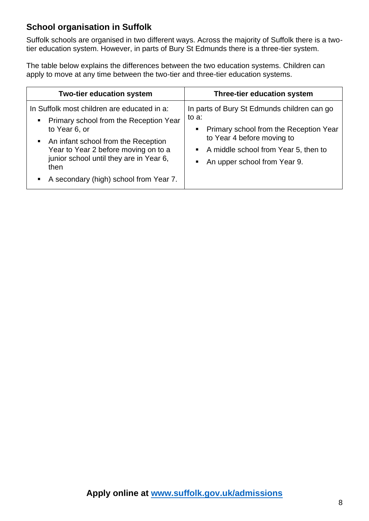## **School organisation in Suffolk**

Suffolk schools are organised in two different ways. Across the majority of Suffolk there is a twotier education system. However, in parts of Bury St Edmunds there is a three-tier system.

The table below explains the differences between the two education systems. Children can apply to move at any time between the two-tier and three-tier education systems.

| <b>Two-tier education system</b>                                                                                                                                                                                                                                                     | <b>Three-tier education system</b>                                                                                                                                                                                               |
|--------------------------------------------------------------------------------------------------------------------------------------------------------------------------------------------------------------------------------------------------------------------------------------|----------------------------------------------------------------------------------------------------------------------------------------------------------------------------------------------------------------------------------|
| In Suffolk most children are educated in a:<br>Primary school from the Reception Year<br>to Year 6, or<br>• An infant school from the Reception<br>Year to Year 2 before moving on to a<br>junior school until they are in Year 6,<br>then<br>A secondary (high) school from Year 7. | In parts of Bury St Edmunds children can go<br>to a:<br>Primary school from the Reception Year<br>п<br>to Year 4 before moving to<br>A middle school from Year 5, then to<br>$\blacksquare$<br>An upper school from Year 9.<br>٠ |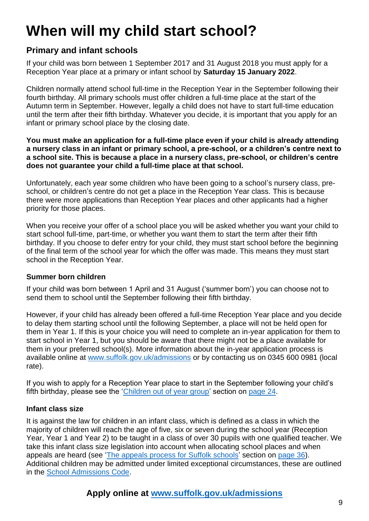## <span id="page-8-0"></span>**When will my child start school?**

## **Primary and infant schools**

If your child was born between 1 September 2017 and 31 August 2018 you must apply for a Reception Year place at a primary or infant school by **Saturday 15 January 2022**.

Children normally attend school full-time in the Reception Year in the September following their fourth birthday. All primary schools must offer children a full-time place at the start of the Autumn term in September. However, legally a child does not have to start full-time education until the term after their fifth birthday. Whatever you decide, it is important that you apply for an infant or primary school place by the closing date.

**You must make an application for a full-time place even if your child is already attending a nursery class in an infant or primary school, a pre-school, or a children's centre next to a school site. This is because a place in a nursery class, pre-school, or children's centre does not guarantee your child a full-time place at that school.**

Unfortunately, each year some children who have been going to a school's nursery class, preschool, or children's centre do not get a place in the Reception Year class. This is because there were more applications than Reception Year places and other applicants had a higher priority for those places.

When you receive your offer of a school place you will be asked whether you want your child to start school full-time, part-time, or whether you want them to start the term after their fifth birthday. If you choose to defer entry for your child, they must start school before the beginning of the final term of the school year for which the offer was made. This means they must start school in the Reception Year.

#### <span id="page-8-1"></span>**Summer born children**

If your child was born between 1 April and 31 August ('summer born') you can choose not to send them to school until the September following their fifth birthday.

However, if your child has already been offered a full-time Reception Year place and you decide to delay them starting school until the following September, a place will not be held open for them in Year 1. If this is your choice you will need to complete an in-year application for them to start school in Year 1, but you should be aware that there might not be a place available for them in your preferred school(s). More information about the in-year application process is available online at [www.suffolk.gov.uk/admissions](http://www.suffolk.gov.uk/admissions) or by contacting us on 0345 600 0981 (local rate).

If you wish to apply for a Reception Year place to start in the September following your child's fifth birthday, please see the ['Children out of year group'](#page-23-0) section on [page 24.](#page-23-0)

#### <span id="page-8-2"></span>**Infant class size**

It is against the law for children in an infant class, which is defined as a class in which the majority of children will reach the age of five, six or seven during the school year (Reception Year, Year 1 and Year 2) to be taught in a class of over 30 pupils with one qualified teacher. We take this infant class size legislation into account when allocating school places and when appeals are heard (see 'The appeals [process for Suffolk schools'](#page-35-0) section on [page 36\)](#page-35-0). Additional children may be admitted under limited exceptional circumstances, these are outlined in the [School Admissions Code.](https://assets.publishing.service.gov.uk/government/uploads/system/uploads/attachment_data/file/1001050/School_admissions_code_2021.pdf)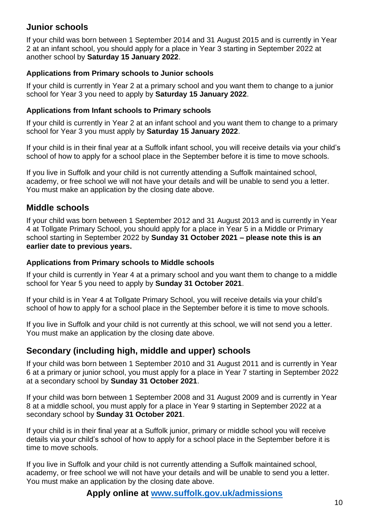## <span id="page-9-0"></span>**Junior schools**

If your child was born between 1 September 2014 and 31 August 2015 and is currently in Year 2 at an infant school, you should apply for a place in Year 3 starting in September 2022 at another school by **Saturday 15 January 2022**.

#### **Applications from Primary schools to Junior schools**

If your child is currently in Year 2 at a primary school and you want them to change to a junior school for Year 3 you need to apply by **Saturday 15 January 2022**.

#### **Applications from Infant schools to Primary schools**

If your child is currently in Year 2 at an infant school and you want them to change to a primary school for Year 3 you must apply by **Saturday 15 January 2022**.

If your child is in their final year at a Suffolk infant school, you will receive details via your child's school of how to apply for a school place in the September before it is time to move schools.

If you live in Suffolk and your child is not currently attending a Suffolk maintained school, academy, or free school we will not have your details and will be unable to send you a letter. You must make an application by the closing date above.

### <span id="page-9-1"></span>**Middle schools**

If your child was born between 1 September 2012 and 31 August 2013 and is currently in Year 4 at Tollgate Primary School, you should apply for a place in Year 5 in a Middle or Primary school starting in September 2022 by **Sunday 31 October 2021 – please note this is an earlier date to previous years.**

#### **Applications from Primary schools to Middle schools**

If your child is currently in Year 4 at a primary school and you want them to change to a middle school for Year 5 you need to apply by **Sunday 31 October 2021**.

If your child is in Year 4 at Tollgate Primary School, you will receive details via your child's school of how to apply for a school place in the September before it is time to move schools.

If you live in Suffolk and your child is not currently at this school, we will not send you a letter. You must make an application by the closing date above.

### <span id="page-9-2"></span>**Secondary (including high, middle and upper) schools**

If your child was born between 1 September 2010 and 31 August 2011 and is currently in Year 6 at a primary or junior school, you must apply for a place in Year 7 starting in September 2022 at a secondary school by **Sunday 31 October 2021**.

If your child was born between 1 September 2008 and 31 August 2009 and is currently in Year 8 at a middle school, you must apply for a place in Year 9 starting in September 2022 at a secondary school by **Sunday 31 October 2021**.

If your child is in their final year at a Suffolk junior, primary or middle school you will receive details via your child's school of how to apply for a school place in the September before it is time to move schools.

If you live in Suffolk and your child is not currently attending a Suffolk maintained school, academy, or free school we will not have your details and will be unable to send you a letter. You must make an application by the closing date above.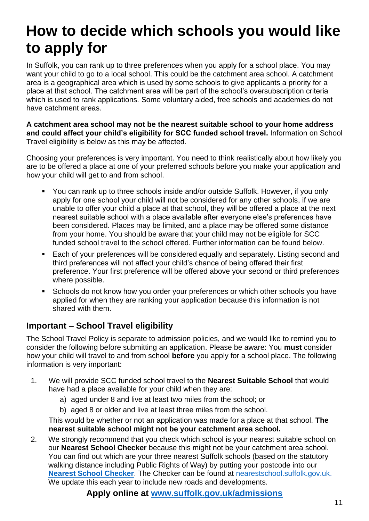## <span id="page-10-0"></span>**How to decide which schools you would like to apply for**

In Suffolk, you can rank up to three preferences when you apply for a school place. You may want your child to go to a local school. This could be the catchment area school. A catchment area is a geographical area which is used by some schools to give applicants a priority for a place at that school. The catchment area will be part of the school's oversubscription criteria which is used to rank applications. Some voluntary aided, free schools and academies do not have catchment areas.

**A catchment area school may not be the nearest suitable school to your home address and could affect your child's eligibility for SCC funded school travel.** Information on School Travel eligibility is below as this may be affected.

Choosing your preferences is very important. You need to think realistically about how likely you are to be offered a place at one of your preferred schools before you make your application and how your child will get to and from school.

- You can rank up to three schools inside and/or outside Suffolk. However, if you only apply for one school your child will not be considered for any other schools, if we are unable to offer your child a place at that school, they will be offered a place at the next nearest suitable school with a place available after everyone else's preferences have been considered. Places may be limited, and a place may be offered some distance from your home. You should be aware that your child may not be eligible for SCC funded school travel to the school offered. Further information can be found below.
- Each of your preferences will be considered equally and separately. Listing second and third preferences will not affect your child's chance of being offered their first preference. Your first preference will be offered above your second or third preferences where possible.
- Schools do not know how you order your preferences or which other schools you have applied for when they are ranking your application because this information is not shared with them.

## <span id="page-10-1"></span>**Important – School Travel eligibility**

The School Travel Policy is separate to admission policies, and we would like to remind you to consider the following before submitting an application. Please be aware: You **must** consider how your child will travel to and from school **before** you apply for a school place. The following information is very important:

- 1. We will provide SCC funded school travel to the **Nearest Suitable School** that would have had a place available for your child when they are:
	- a) aged under 8 and live at least two miles from the school; or
	- b) aged 8 or older and live at least three miles from the school.

This would be whether or not an application was made for a place at that school. **The nearest suitable school might not be your catchment area school.** 

2. We strongly recommend that you check which school is your nearest suitable school on our **Nearest School Checker** because this might not be your catchment area school. You can find out which are your three nearest Suffolk schools (based on the statutory walking distance including Public Rights of Way) by putting your postcode into our **[Nearest School Checker](http://nearestschool.suffolk.gov.uk/)**. The Checker can be found at [nearestschool.suffolk.gov.uk.](http://nearestschool.suffolk.gov.uk/) We update this each year to include new roads and developments.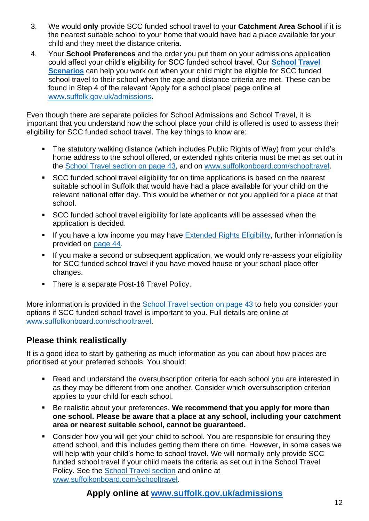- 3. We would **only** provide SCC funded school travel to your **Catchment Area School** if it is the nearest suitable school to your home that would have had a place available for your child and they meet the distance criteria.
- 4. Your **School Preferences** and the order you put them on your admissions application could affect your child's eligibility for SCC funded school travel. Our **[School Travel](https://www.suffolk.gov.uk/assets/Children-families-and-learning/schools/Admissions/Scenarios-for-admissions-and-travel-2022-2023.pdf)  [Scenarios](https://www.suffolk.gov.uk/assets/Children-families-and-learning/schools/Admissions/Scenarios-for-admissions-and-travel-2022-2023.pdf)** can help you work out when your child might be eligible for SCC funded school travel to their school when the age and distance criteria are met. These can be found in Step 4 of the relevant 'Apply for a school place' page online at [www.suffolk.gov.uk/admissions.](http://www.suffolk.gov.uk/admissions)

Even though there are separate policies for School Admissions and School Travel, it is important that you understand how the school place your child is offered is used to assess their eligibility for SCC funded school travel. The key things to know are:

- The statutory walking distance (which includes Public Rights of Way) from your child's home address to the school offered, or extended rights criteria must be met as set out in the [School Travel section on page 43,](#page-42-0) and on [www.suffolkonboard.com/schooltravel.](http://www.suffolkonboard.com/schooltravel)
- SCC funded school travel eligibility for on time applications is based on the nearest suitable school in Suffolk that would have had a place available for your child on the relevant national offer day. This would be whether or not you applied for a place at that school.
- SCC funded school travel eligibility for late applicants will be assessed when the application is decided.
- **■** If you have a low income you may have [Extended Rights Eligibility,](#page-43-0) further information is provided on [page 44.](#page-43-0)
- **EXT** If you make a second or subsequent application, we would only re-assess your eligibility for SCC funded school travel if you have moved house or your school place offer changes.
- There is a separate Post-16 Travel Policy.

More information is provided in the [School Travel section](#page-42-0) on page 43 to help you consider your options if SCC funded school travel is important to you. Full details are online at [www.suffolkonboard.com/schooltravel.](http://www.suffolkonboard.com/schooltravel)

### **Please think realistically**

It is a good idea to start by gathering as much information as you can about how places are prioritised at your preferred schools. You should:

- Read and understand the oversubscription criteria for each school you are interested in as they may be different from one another. Consider which oversubscription criterion applies to your child for each school.
- Be realistic about your preferences. **We recommend that you apply for more than one school. Please be aware that a place at any school, including your catchment area or nearest suitable school, cannot be guaranteed.**
- Consider how you will get your child to school. You are responsible for ensuring they attend school, and this includes getting them there on time. However, in some cases we will help with your child's home to school travel. We will normally only provide SCC funded school travel if your child meets the criteria as set out in the School Travel Policy. See the [School Travel section](#page-42-0) and online at [www.suffolkonboard.com/schooltravel.](http://www.suffolkonboard.com/schooltravel)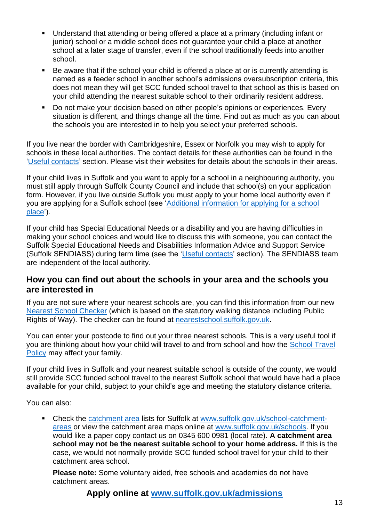- Understand that attending or being offered a place at a primary (including infant or junior) school or a middle school does not guarantee your child a place at another school at a later stage of transfer, even if the school traditionally feeds into another school.
- Be aware that if the school your child is offered a place at or is currently attending is named as a feeder school in another school's admissions oversubscription criteria, this does not mean they will get SCC funded school travel to that school as this is based on your child attending the nearest suitable school to their ordinarily resident address.
- Do not make your decision based on other people's opinions or experiences. Every situation is different, and things change all the time. Find out as much as you can about the schools you are interested in to help you select your preferred schools.

If you live near the border with Cambridgeshire, Essex or Norfolk you may wish to apply for schools in these local authorities. The contact details for these authorities can be found in the ['Useful contacts'](#page-54-0) section. Please visit their websites for details about the schools in their areas.

If your child lives in Suffolk and you want to apply for a school in a neighbouring authority, you must still apply through Suffolk County Council and include that school(s) on your application form. However, if you live outside Suffolk you must apply to your home local authority even if you are applying for a Suffolk school (see ['Additional information for applying for a school](#page-18-0)  [place'](#page-18-0)).

If your child has Special Educational Needs or a disability and you are having difficulties in making your school choices and would like to discuss this with someone, you can contact the Suffolk Special Educational Needs and Disabilities Information Advice and Support Service (Suffolk SENDIASS) during term time (see the ['Useful contacts'](#page-54-0) section). The SENDIASS team are independent of the local authority.

#### **How you can find out about the schools in your area and the schools you are interested in**

If you are not sure where your nearest schools are, you can find this information from our new [Nearest School Checker](http://nearestschool.suffolk.gov.uk/) (which is based on the statutory walking distance including Public Rights of Way). The checker can be found at [nearestschool.suffolk.gov.uk.](http://nearestschool.suffolk.gov.uk/)

You can enter your postcode to find out your three nearest schools. This is a very useful tool if you are thinking about how your child will travel to and from school and how the [School Travel](#page-42-0)  [Policy](#page-42-0) may affect your family.

If your child lives in Suffolk and your nearest suitable school is outside of the county, we would still provide SCC funded school travel to the nearest Suffolk school that would have had a place available for your child, subject to your child's age and meeting the statutory distance criteria.

You can also:

■ Check the [catchment area](#page-56-1) lists for Suffolk at [www.suffolk.gov.uk/school-catchment](http://www.suffolk.gov.uk/school-catchment-areas)[areas](http://www.suffolk.gov.uk/school-catchment-areas) or view the catchment area maps online at [www.suffolk.gov.uk/schools.](http://www.suffolk.gov.uk/schools) If you would like a paper copy contact us on 0345 600 0981 (local rate). **A catchment area school may not be the nearest suitable school to your home address.** If this is the case, we would not normally provide SCC funded school travel for your child to their catchment area school.

**Please note:** Some voluntary aided, free schools and academies do not have catchment areas.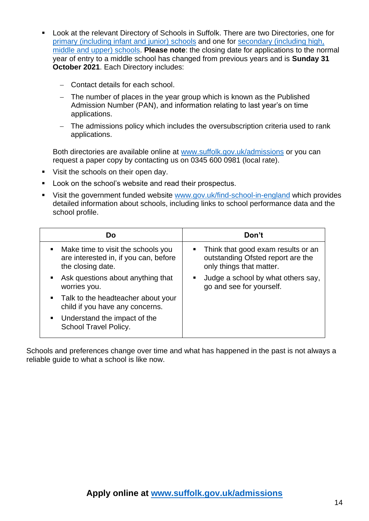- Look at the relevant Directory of Schools in Suffolk. There are two Directories, one for [primary \(including infant and junior\)](https://www.suffolk.gov.uk/assets/Children-families-and-learning/schools/Admissions/Directory-of-Schools-in-Suffolk-Primary-2022-2023.pdf) schools and one for [secondary \(including high,](https://www.suffolk.gov.uk/assets/Children-families-and-learning/schools/Admissions/Directory-of-Schools-in-Suffolk-Secondary-2022-2023.pdf)  [middle and upper\)](https://www.suffolk.gov.uk/assets/Children-families-and-learning/schools/Admissions/Directory-of-Schools-in-Suffolk-Secondary-2022-2023.pdf) schools. **Please note**: the closing date for applications to the normal year of entry to a middle school has changed from previous years and is **Sunday 31 October 2021**. Each Directory includes:
	- − Contact details for each school.
	- − The number of places in the year group which is known as the Published Admission Number (PAN), and information relating to last year's on time applications.
	- − The admissions policy which includes the oversubscription criteria used to rank applications.

Both directories are available online at [www.suffolk.gov.uk/admissions](http://www.suffolk.gov.uk/admissions) or you can request a paper copy by contacting us on 0345 600 0981 (local rate).

- Visit the schools on their open day.
- Look on the school's website and read their prospectus.
- Visit the government funded website [www.gov.uk/find-school-in-england](http://www.gov.uk/find-school-in-england) which provides detailed information about schools, including links to school performance data and the school profile.

| D٥                                                                                               | Don't                                                                                                 |
|--------------------------------------------------------------------------------------------------|-------------------------------------------------------------------------------------------------------|
| Make time to visit the schools you<br>are interested in, if you can, before<br>the closing date. | • Think that good exam results or an<br>outstanding Ofsted report are the<br>only things that matter. |
| Ask questions about anything that<br>worries you.                                                | Judge a school by what others say,<br>п<br>go and see for yourself.                                   |
| • Talk to the headteacher about your<br>child if you have any concerns.                          |                                                                                                       |
| Understand the impact of the<br>$\blacksquare$<br>School Travel Policy.                          |                                                                                                       |

Schools and preferences change over time and what has happened in the past is not always a reliable guide to what a school is like now.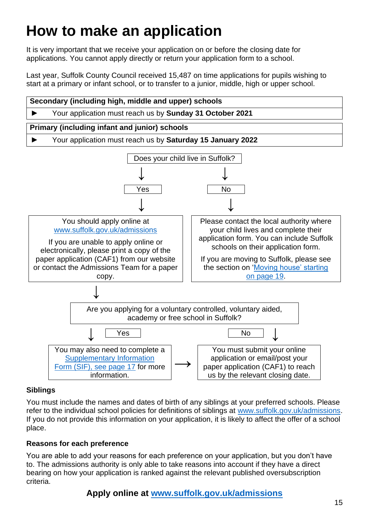## <span id="page-14-0"></span>**How to make an application**

It is very important that we receive your application on or before the closing date for applications. You cannot apply directly or return your application form to a school.

Last year, Suffolk County Council received 15,487 on time applications for pupils wishing to start at a primary or infant school, or to transfer to a junior, middle, high or upper school.



### **Siblings**

You must include the names and dates of birth of any siblings at your preferred schools. Please refer to the individual school policies for definitions of siblings at [www.suffolk.gov.uk/admissions.](http://www.suffolk.gov.uk/admissions) If you do not provide this information on your application, it is likely to affect the offer of a school place.

#### **Reasons for each preference**

You are able to add your reasons for each preference on your application, but you don't have to. The admissions authority is only able to take reasons into account if they have a direct bearing on how your application is ranked against the relevant published oversubscription criteria.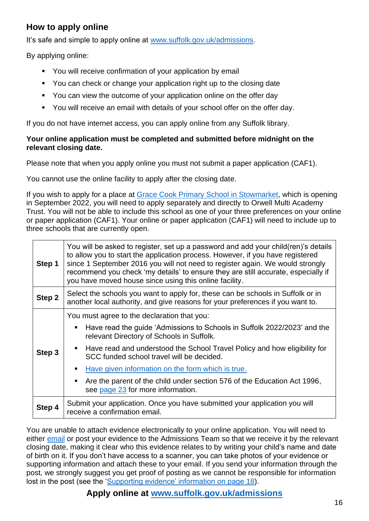## <span id="page-15-0"></span>**How to apply online**

It's safe and simple to apply online at [www.suffolk.gov.uk/admissions.](http://www.suffolk.gov.uk/admissions)

By applying online:

- You will receive confirmation of your application by email
- You can check or change your application right up to the closing date
- You can view the outcome of your application online on the offer day
- You will receive an email with details of your school offer on the offer day.

If you do not have internet access, you can apply online from any Suffolk library.

#### **Your online application must be completed and submitted before midnight on the relevant closing date.**

Please note that when you apply online you must not submit a paper application (CAF1).

You cannot use the online facility to apply after the closing date.

If you wish to apply for a place at [Grace Cook Primary School in Stowmarket,](https://www.suffolk.gov.uk/assets/Children-families-and-learning/schools/2022-2023-School-Data-from-Directories/Grace-Cook-Primary-School.pdf) which is opening in September 2022, you will need to apply separately and directly to Orwell Multi Academy Trust. You will not be able to include this school as one of your three preferences on your online or paper application (CAF1). Your online or paper application (CAF1) will need to include up to three schools that are currently open.

| Step 1 | You will be asked to register, set up a password and add your child(ren)'s details<br>to allow you to start the application process. However, if you have registered<br>since 1 September 2016 you will not need to register again. We would strongly<br>recommend you check 'my details' to ensure they are still accurate, especially if<br>you have moved house since using this online facility.                                                                                  |  |
|--------|---------------------------------------------------------------------------------------------------------------------------------------------------------------------------------------------------------------------------------------------------------------------------------------------------------------------------------------------------------------------------------------------------------------------------------------------------------------------------------------|--|
| Step 2 | Select the schools you want to apply for, these can be schools in Suffolk or in<br>another local authority, and give reasons for your preferences if you want to.                                                                                                                                                                                                                                                                                                                     |  |
| Step 3 | You must agree to the declaration that you:<br>Have read the guide 'Admissions to Schools in Suffolk 2022/2023' and the<br>п<br>relevant Directory of Schools in Suffolk.<br>• Have read and understood the School Travel Policy and how eligibility for<br>SCC funded school travel will be decided.<br>Have given information on the form which is true.<br>٠<br>Are the parent of the child under section 576 of the Education Act 1996,<br>п<br>see page 23 for more information. |  |
| Step 4 | Submit your application. Once you have submitted your application you will<br>receive a confirmation email.                                                                                                                                                                                                                                                                                                                                                                           |  |

You are unable to attach evidence electronically to your online application. You will need to either [email](mailto:admissions@suffolk.gov.uk) or post your evidence to the Admissions Team so that we receive it by the relevant closing date, making it clear who this evidence relates to by writing your child's name and date of birth on it. If you don't have access to a scanner, you can take photos of your evidence or supporting information and attach these to your email. If you send your information through the post, we strongly suggest you get proof of posting as we cannot be responsible for information lost in the post (see the ['Supporting evidence' information on page](#page-17-1) 18).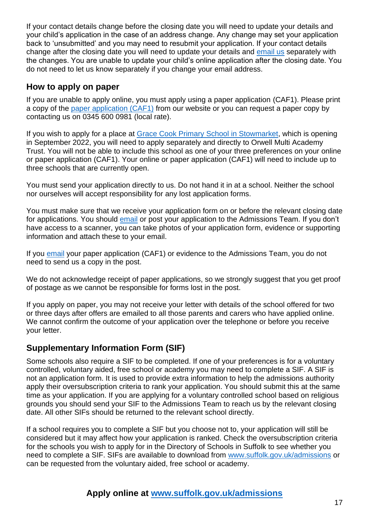If your contact details change before the closing date you will need to update your details and your child's application in the case of an address change. Any change may set your application back to 'unsubmitted' and you may need to resubmit your application. If your contact details change after the closing date you will need to update your details and [email us](mailto:admissions@suffolk.gov.uk) separately with the changes. You are unable to update your child's online application after the closing date. You do not need to let us know separately if you change your email address.

### <span id="page-16-0"></span>**How to apply on paper**

If you are unable to apply online, you must apply using a paper application (CAF1). Please print a copy of the [paper application \(CAF1\)](https://www.suffolk.gov.uk/assets/Children-families-and-learning/schools/Admissions/CAF1-2022-2023.pdf) from our website or you can request a paper copy by contacting us on 0345 600 0981 (local rate).

If you wish to apply for a place at [Grace Cook Primary School in Stowmarket,](https://www.suffolk.gov.uk/assets/Children-families-and-learning/schools/2022-2023-School-Data-from-Directories/Grace-Cook-Primary-School.pdf) which is opening in September 2022, you will need to apply separately and directly to Orwell Multi Academy Trust. You will not be able to include this school as one of your three preferences on your online or paper application (CAF1). Your online or paper application (CAF1) will need to include up to three schools that are currently open.

You must send your application directly to us. Do not hand it in at a school. Neither the school nor ourselves will accept responsibility for any lost application forms.

You must make sure that we receive your application form on or before the relevant closing date for applications. You should [email](mailto:admissions@suffolk.gov.uk) or post your application to the Admissions Team. If you don't have access to a scanner, you can take photos of your application form, evidence or supporting information and attach these to your email.

If you [email](mailto:admissions@suffolk.gov.uk) your paper application (CAF1) or evidence to the Admissions Team, you do not need to send us a copy in the post.

We do not acknowledge receipt of paper applications, so we strongly suggest that you get proof of postage as we cannot be responsible for forms lost in the post.

If you apply on paper, you may not receive your letter with details of the school offered for two or three days after offers are emailed to all those parents and carers who have applied online. We cannot confirm the outcome of your application over the telephone or before you receive your letter.

## <span id="page-16-1"></span>**Supplementary Information Form (SIF)**

Some schools also require a SIF to be completed. If one of your preferences is for a voluntary controlled, voluntary aided, free school or academy you may need to complete a SIF. A SIF is not an application form. It is used to provide extra information to help the admissions authority apply their oversubscription criteria to rank your application. You should submit this at the same time as your application. If you are applying for a voluntary controlled school based on religious grounds you should send your SIF to the Admissions Team to reach us by the relevant closing date. All other SIFs should be returned to the relevant school directly.

If a school requires you to complete a SIF but you choose not to, your application will still be considered but it may affect how your application is ranked. Check the oversubscription criteria for the schools you wish to apply for in the Directory of Schools in Suffolk to see whether you need to complete a SIF. SIFs are available to download from [www.suffolk.gov.uk/admissions](http://www.suffolk.gov.uk/admissions) or can be requested from the voluntary aided, free school or academy.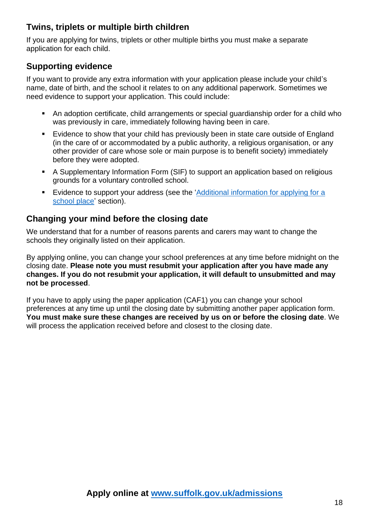## <span id="page-17-0"></span>**Twins, triplets or multiple birth children**

If you are applying for twins, triplets or other multiple births you must make a separate application for each child.

## <span id="page-17-1"></span>**Supporting evidence**

If you want to provide any extra information with your application please include your child's name, date of birth, and the school it relates to on any additional paperwork. Sometimes we need evidence to support your application. This could include:

- An adoption certificate, child arrangements or special guardianship order for a child who was previously in care, immediately following having been in care.
- Evidence to show that your child has previously been in state care outside of England (in the care of or accommodated by a public authority, a religious organisation, or any other provider of care whose sole or main purpose is to benefit society) immediately before they were adopted.
- A Supplementary Information Form (SIF) to support an application based on religious grounds for a voluntary controlled school.
- **Evidence to support your address (see the 'Additional information for applying for a** [school](#page-18-0) place' section).

## **Changing your mind before the closing date**

We understand that for a number of reasons parents and carers may want to change the schools they originally listed on their application.

By applying online, you can change your school preferences at any time before midnight on the closing date. **Please note you must resubmit your application after you have made any changes. If you do not resubmit your application, it will default to unsubmitted and may not be processed**.

If you have to apply using the paper application (CAF1) you can change your school preferences at any time up until the closing date by submitting another paper application form. **You must make sure these changes are received by us on or before the closing date**. We will process the application received before and closest to the closing date.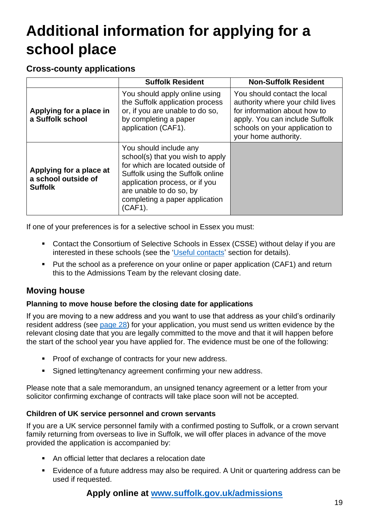## <span id="page-18-0"></span>**Additional information for applying for a school place**

### **Cross-county applications**

|                                                                  | <b>Suffolk Resident</b>                                                                                                                                                                                                                      | <b>Non-Suffolk Resident</b>                                                                                                                                                                  |
|------------------------------------------------------------------|----------------------------------------------------------------------------------------------------------------------------------------------------------------------------------------------------------------------------------------------|----------------------------------------------------------------------------------------------------------------------------------------------------------------------------------------------|
| Applying for a place in<br>a Suffolk school                      | You should apply online using<br>the Suffolk application process<br>or, if you are unable to do so,<br>by completing a paper<br>application (CAF1).                                                                                          | You should contact the local<br>authority where your child lives<br>for information about how to<br>apply. You can include Suffolk<br>schools on your application to<br>your home authority. |
| Applying for a place at<br>a school outside of<br><b>Suffolk</b> | You should include any<br>school(s) that you wish to apply<br>for which are located outside of<br>Suffolk using the Suffolk online<br>application process, or if you<br>are unable to do so, by<br>completing a paper application<br>(CAF1). |                                                                                                                                                                                              |

If one of your preferences is for a selective school in Essex you must:

- Contact the Consortium of Selective Schools in Essex (CSSE) without delay if you are interested in these schools (see the ['Useful contacts'](#page-54-0) section for details).
- Put the school as a preference on your online or paper application (CAF1) and return this to the Admissions Team by the relevant closing date.

## <span id="page-18-1"></span>**Moving house**

#### **Planning to move house before the closing date for applications**

If you are moving to a new address and you want to use that address as your child's ordinarily resident address (see [page 28](#page-27-0)) for your application, you must send us written evidence by the relevant closing date that you are legally committed to the move and that it will happen before the start of the school year you have applied for. The evidence must be one of the following:

- Proof of exchange of contracts for your new address.
- Signed letting/tenancy agreement confirming your new address.

Please note that a sale memorandum, an unsigned tenancy agreement or a letter from your solicitor confirming exchange of contracts will take place soon will not be accepted.

#### <span id="page-18-2"></span>**Children of UK service personnel and crown servants**

If you are a UK service personnel family with a confirmed posting to Suffolk, or a crown servant family returning from overseas to live in Suffolk, we will offer places in advance of the move provided the application is accompanied by:

- An official letter that declares a relocation date
- Evidence of a future address may also be required. A Unit or quartering address can be used if requested.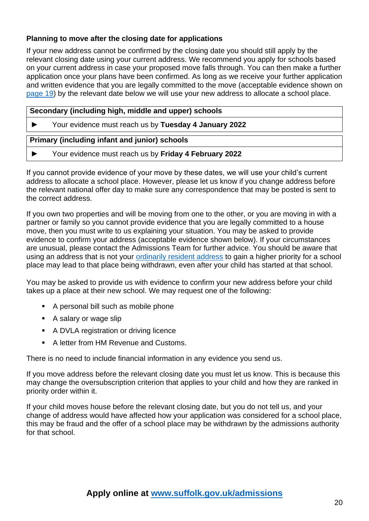#### **Planning to move after the closing date for applications**

If your new address cannot be confirmed by the closing date you should still apply by the relevant closing date using your current address. We recommend you apply for schools based on your current address in case your proposed move falls through. You can then make a further application once your plans have been confirmed. As long as we receive your further application and written evidence that you are legally committed to the move (acceptable evidence shown on [page 19\)](#page-18-1) by the relevant date below we will use your new address to allocate a school place.

#### **Secondary (including high, middle and upper) schools**

► Your evidence must reach us by **Tuesday 4 January 2022**

#### **Primary (including infant and junior) schools**

► Your evidence must reach us by **Friday 4 February 2022**

If you cannot provide evidence of your move by these dates, we will use your child's current address to allocate a school place. However, please let us know if you change address before the relevant national offer day to make sure any correspondence that may be posted is sent to the correct address.

If you own two properties and will be moving from one to the other, or you are moving in with a partner or family so you cannot provide evidence that you are legally committed to a house move, then you must write to us explaining your situation. You may be asked to provide evidence to confirm your address (acceptable evidence shown below). If your circumstances are unusual, please contact the Admissions Team for further advice. You should be aware that using an address that is not your [ordinarily resident address](#page-27-0) to gain a higher priority for a school place may lead to that place being withdrawn, even after your child has started at that school.

You may be asked to provide us with evidence to confirm your new address before your child takes up a place at their new school. We may request one of the following:

- A personal bill such as mobile phone
- A salary or wage slip
- A DVLA registration or driving licence
- A letter from HM Revenue and Customs.

There is no need to include financial information in any evidence you send us.

If you move address before the relevant closing date you must let us know. This is because this may change the oversubscription criterion that applies to your child and how they are ranked in priority order within it.

If your child moves house before the relevant closing date, but you do not tell us, and your change of address would have affected how your application was considered for a school place, this may be fraud and the offer of a school place may be withdrawn by the admissions authority for that school.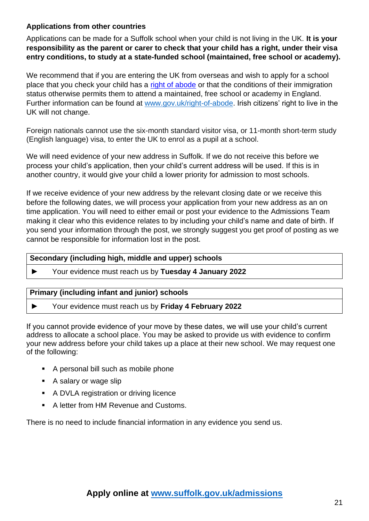#### <span id="page-20-0"></span>**Applications from other countries**

Applications can be made for a Suffolk school when your child is not living in the UK. **It is your responsibility as the parent or carer to check that your child has a right, under their visa entry conditions, to study at a state-funded school (maintained, free school or academy).**

We recommend that if you are entering the UK from overseas and wish to apply for a school place that you check your child has a [right of abode](https://www.gov.uk/right-of-abode) or that the conditions of their immigration status otherwise permits them to attend a maintained, free school or academy in England. Further information can be found at [www.gov.uk/right-of-abode.](https://www.gov.uk/right-of-abode) Irish citizens' right to live in the UK will not change.

Foreign nationals cannot use the six-month standard visitor visa, or 11-month short-term study (English language) visa, to enter the UK to enrol as a pupil at a school.

We will need evidence of your new address in Suffolk. If we do not receive this before we process your child's application, then your child's current address will be used. If this is in another country, it would give your child a lower priority for admission to most schools.

If we receive evidence of your new address by the relevant closing date or we receive this before the following dates, we will process your application from your new address as an on time application. You will need to either email or post your evidence to the Admissions Team making it clear who this evidence relates to by including your child's name and date of birth. If you send your information through the post, we strongly suggest you get proof of posting as we cannot be responsible for information lost in the post.

#### **Secondary (including high, middle and upper) schools**

► Your evidence must reach us by **Tuesday 4 January 2022**

#### **Primary (including infant and junior) schools**

► Your evidence must reach us by **Friday 4 February 2022**

If you cannot provide evidence of your move by these dates, we will use your child's current address to allocate a school place. You may be asked to provide us with evidence to confirm your new address before your child takes up a place at their new school. We may request one of the following:

- A personal bill such as mobile phone
- A salary or wage slip
- A DVLA registration or driving licence
- A letter from HM Revenue and Customs.

There is no need to include financial information in any evidence you send us.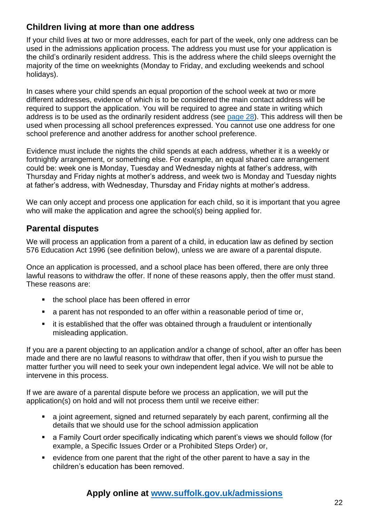## <span id="page-21-0"></span>**Children living at more than one address**

If your child lives at two or more addresses, each for part of the week, only one address can be used in the admissions application process. The address you must use for your application is the child's ordinarily resident address. This is the address where the child sleeps overnight the majority of the time on weeknights (Monday to Friday, and excluding weekends and school holidays).

In cases where your child spends an equal proportion of the school week at two or more different addresses, evidence of which is to be considered the main contact address will be required to support the application. You will be required to agree and state in writing which address is to be used as the ordinarily resident address (see [page 28](#page-27-0)). This address will then be used when processing all school preferences expressed. You cannot use one address for one school preference and another address for another school preference.

Evidence must include the nights the child spends at each address, whether it is a weekly or fortnightly arrangement, or something else. For example, an equal shared care arrangement could be: week one is Monday, Tuesday and Wednesday nights at father's address, with Thursday and Friday nights at mother's address, and week two is Monday and Tuesday nights at father's address, with Wednesday, Thursday and Friday nights at mother's address.

We can only accept and process one application for each child, so it is important that you agree who will make the application and agree the school(s) being applied for.

## <span id="page-21-1"></span>**Parental disputes**

We will process an application from a parent of a child, in education law as defined by section 576 Education Act 1996 (see definition below), unless we are aware of a parental dispute.

Once an application is processed, and a school place has been offered, there are only three lawful reasons to withdraw the offer. If none of these reasons apply, then the offer must stand. These reasons are:

- the school place has been offered in error
- a parent has not responded to an offer within a reasonable period of time or,
- it is established that the offer was obtained through a fraudulent or intentionally misleading application.

If you are a parent objecting to an application and/or a change of school, after an offer has been made and there are no lawful reasons to withdraw that offer, then if you wish to pursue the matter further you will need to seek your own independent legal advice. We will not be able to intervene in this process.

If we are aware of a parental dispute before we process an application, we will put the application(s) on hold and will not process them until we receive either:

- a joint agreement, signed and returned separately by each parent, confirming all the details that we should use for the school admission application
- a Family Court order specifically indicating which parent's views we should follow (for example, a Specific Issues Order or a Prohibited Steps Order) or,
- evidence from one parent that the right of the other parent to have a say in the children's education has been removed.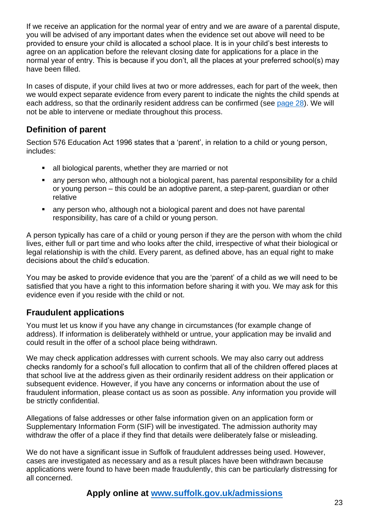If we receive an application for the normal year of entry and we are aware of a parental dispute, you will be advised of any important dates when the evidence set out above will need to be provided to ensure your child is allocated a school place. It is in your child's best interests to agree on an application before the relevant closing date for applications for a place in the normal year of entry. This is because if you don't, all the places at your preferred school(s) may have been filled.

In cases of dispute, if your child lives at two or more addresses, each for part of the week, then we would expect separate evidence from every parent to indicate the nights the child spends at each address, so that the ordinarily resident address can be confirmed (see [page 28\)](#page-27-0). We will not be able to intervene or mediate throughout this process.

## <span id="page-22-0"></span>**Definition of parent**

Section 576 Education Act 1996 states that a 'parent', in relation to a child or young person, includes:

- all biological parents, whether they are married or not
- any person who, although not a biological parent, has parental responsibility for a child or young person – this could be an adoptive parent, a step-parent, guardian or other relative
- any person who, although not a biological parent and does not have parental responsibility, has care of a child or young person.

A person typically has care of a child or young person if they are the person with whom the child lives, either full or part time and who looks after the child, irrespective of what their biological or legal relationship is with the child. Every parent, as defined above, has an equal right to make decisions about the child's education.

You may be asked to provide evidence that you are the 'parent' of a child as we will need to be satisfied that you have a right to this information before sharing it with you. We may ask for this evidence even if you reside with the child or not.

## <span id="page-22-1"></span>**Fraudulent applications**

You must let us know if you have any change in circumstances (for example change of address). If information is deliberately withheld or untrue, your application may be invalid and could result in the offer of a school place being withdrawn.

We may check application addresses with current schools. We may also carry out address checks randomly for a school's full allocation to confirm that all of the children offered places at that school live at the address given as their ordinarily resident address on their application or subsequent evidence. However, if you have any concerns or information about the use of fraudulent information, please contact us as soon as possible. Any information you provide will be strictly confidential.

Allegations of false addresses or other false information given on an application form or Supplementary Information Form (SIF) will be investigated. The admission authority may withdraw the offer of a place if they find that details were deliberately false or misleading.

We do not have a significant issue in Suffolk of fraudulent addresses being used. However, cases are investigated as necessary and as a result places have been withdrawn because applications were found to have been made fraudulently, this can be particularly distressing for all concerned.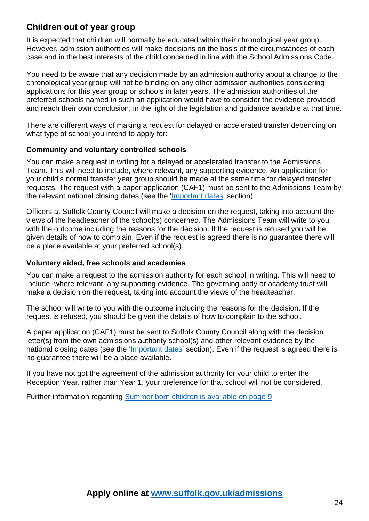## <span id="page-23-0"></span>**Children out of year group**

It is expected that children will normally be educated within their chronological year group. However, admission authorities will make decisions on the basis of the circumstances of each case and in the best interests of the child concerned in line with the School Admissions Code.

You need to be aware that any decision made by an admission authority about a change to the chronological year group will not be binding on any other admission authorities considering applications for this year group or schools in later years. The admission authorities of the preferred schools named in such an application would have to consider the evidence provided and reach their own conclusion, in the light of the legislation and guidance available at that time.

There are different ways of making a request for delayed or accelerated transfer depending on what type of school you intend to apply for:

#### **Community and voluntary controlled schools**

You can make a request in writing for a delayed or accelerated transfer to the Admissions Team. This will need to include, where relevant, any supporting evidence. An application for your child's normal transfer year group should be made at the same time for delayed transfer requests. The request with a paper application (CAF1) must be sent to the Admissions Team by the relevant national closing dates (see the ['Important dates'](#page-3-0) section).

Officers at Suffolk County Council will make a decision on the request, taking into account the views of the headteacher of the school(s) concerned. The Admissions Team will write to you with the outcome including the reasons for the decision. If the request is refused you will be given details of how to complain. Even if the request is agreed there is no guarantee there will be a place available at your preferred school(s).

#### **Voluntary aided, free schools and academies**

You can make a request to the admission authority for each school in writing. This will need to include, where relevant, any supporting evidence. The governing body or academy trust will make a decision on the request, taking into account the views of the headteacher.

The school will write to you with the outcome including the reasons for the decision. If the request is refused, you should be given the details of how to complain to the school.

A paper application (CAF1) must be sent to Suffolk County Council along with the decision letter(s) from the own admissions authority school(s) and other relevant evidence by the national closing dates (see the ['Important dates'](#page-3-0) section). Even if the request is agreed there is no guarantee there will be a place available.

If you have not got the agreement of the admission authority for your child to enter the Reception Year, rather than Year 1, your preference for that school will not be considered.

Further information regarding [Summer born children is available on page 9.](#page-8-1)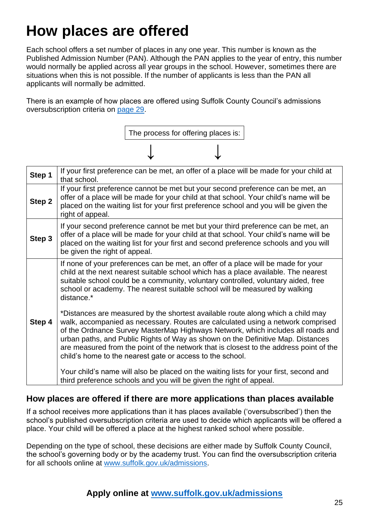## <span id="page-24-0"></span>**How places are offered**

Each school offers a set number of places in any one year. This number is known as the Published Admission Number (PAN). Although the PAN applies to the year of entry, this number would normally be applied across all year groups in the school. However, sometimes there are situations when this is not possible. If the number of applicants is less than the PAN all applicants will normally be admitted.

There is an example of how places are offered using Suffolk County Council's admissions oversubscription criteria on [page 29.](#page-28-0)



| Step 1 | If your first preference can be met, an offer of a place will be made for your child at<br>that school.                                                                                                                                                                                                                                                                                                                                                                                         |
|--------|-------------------------------------------------------------------------------------------------------------------------------------------------------------------------------------------------------------------------------------------------------------------------------------------------------------------------------------------------------------------------------------------------------------------------------------------------------------------------------------------------|
| Step 2 | If your first preference cannot be met but your second preference can be met, an<br>offer of a place will be made for your child at that school. Your child's name will be<br>placed on the waiting list for your first preference school and you will be given the<br>right of appeal.                                                                                                                                                                                                         |
| Step 3 | If your second preference cannot be met but your third preference can be met, an<br>offer of a place will be made for your child at that school. Your child's name will be<br>placed on the waiting list for your first and second preference schools and you will<br>be given the right of appeal.                                                                                                                                                                                             |
|        | If none of your preferences can be met, an offer of a place will be made for your<br>child at the next nearest suitable school which has a place available. The nearest<br>suitable school could be a community, voluntary controlled, voluntary aided, free<br>school or academy. The nearest suitable school will be measured by walking<br>distance.*                                                                                                                                        |
| Step 4 | *Distances are measured by the shortest available route along which a child may<br>walk, accompanied as necessary. Routes are calculated using a network comprised<br>of the Ordnance Survey MasterMap Highways Network, which includes all roads and<br>urban paths, and Public Rights of Way as shown on the Definitive Map. Distances<br>are measured from the point of the network that is closest to the address point of the<br>child's home to the nearest gate or access to the school. |
|        | Your child's name will also be placed on the waiting lists for your first, second and<br>third preference schools and you will be given the right of appeal.                                                                                                                                                                                                                                                                                                                                    |

### **How places are offered if there are more applications than places available**

If a school receives more applications than it has places available ('oversubscribed') then the school's published oversubscription criteria are used to decide which applicants will be offered a place. Your child will be offered a place at the highest ranked school where possible.

Depending on the type of school, these decisions are either made by Suffolk County Council, the school's governing body or by the academy trust. You can find the oversubscription criteria for all schools online at [www.suffolk.gov.uk/admissions.](http://www.suffolk.gov.uk/admissions)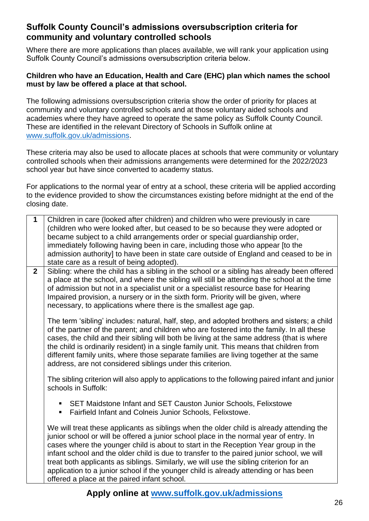### <span id="page-25-0"></span>**Suffolk County Council's admissions oversubscription criteria for community and voluntary controlled schools**

Where there are more applications than places available, we will rank your application using Suffolk County Council's admissions oversubscription criteria below.

#### **Children who have an Education, Health and Care (EHC) plan which names the school must by law be offered a place at that school.**

The following admissions oversubscription criteria show the order of priority for places at community and voluntary controlled schools and at those voluntary aided schools and academies where they have agreed to operate the same policy as Suffolk County Council. These are identified in the relevant Directory of Schools in Suffolk online at [www.suffolk.gov.uk/admissions.](http://www.suffolk.gov.uk/admissions)

These criteria may also be used to allocate places at schools that were community or voluntary controlled schools when their admissions arrangements were determined for the 2022/2023 school year but have since converted to academy status.

For applications to the normal year of entry at a school, these criteria will be applied according to the evidence provided to show the circumstances existing before midnight at the end of the closing date.

| $\mathbf{1}$   | Children in care (looked after children) and children who were previously in care<br>(children who were looked after, but ceased to be so because they were adopted or<br>became subject to a child arrangements order or special guardianship order,<br>immediately following having been in care, including those who appear [to the<br>admission authority] to have been in state care outside of England and ceased to be in<br>state care as a result of being adopted).                                                                                                                           |
|----------------|---------------------------------------------------------------------------------------------------------------------------------------------------------------------------------------------------------------------------------------------------------------------------------------------------------------------------------------------------------------------------------------------------------------------------------------------------------------------------------------------------------------------------------------------------------------------------------------------------------|
| $\overline{2}$ | Sibling: where the child has a sibling in the school or a sibling has already been offered<br>a place at the school, and where the sibling will still be attending the school at the time<br>of admission but not in a specialist unit or a specialist resource base for Hearing<br>Impaired provision, a nursery or in the sixth form. Priority will be given, where<br>necessary, to applications where there is the smallest age gap.                                                                                                                                                                |
|                | The term 'sibling' includes: natural, half, step, and adopted brothers and sisters; a child<br>of the partner of the parent; and children who are fostered into the family. In all these<br>cases, the child and their sibling will both be living at the same address (that is where<br>the child is ordinarily resident) in a single family unit. This means that children from<br>different family units, where those separate families are living together at the same<br>address, are not considered siblings under this criterion.                                                                |
|                | The sibling criterion will also apply to applications to the following paired infant and junior<br>schools in Suffolk:                                                                                                                                                                                                                                                                                                                                                                                                                                                                                  |
|                | SET Maidstone Infant and SET Causton Junior Schools, Felixstowe<br>ш<br>Fairfield Infant and Colneis Junior Schools, Felixstowe.<br>٠                                                                                                                                                                                                                                                                                                                                                                                                                                                                   |
|                | We will treat these applicants as siblings when the older child is already attending the<br>junior school or will be offered a junior school place in the normal year of entry. In<br>cases where the younger child is about to start in the Reception Year group in the<br>infant school and the older child is due to transfer to the paired junior school, we will<br>treat both applicants as siblings. Similarly, we will use the sibling criterion for an<br>application to a junior school if the younger child is already attending or has been<br>offered a place at the paired infant school. |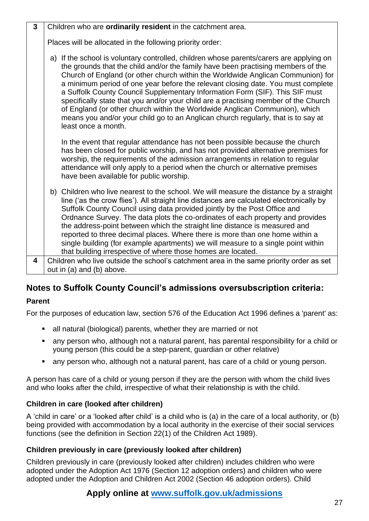| $\overline{3}$ | Children who are ordinarily resident in the catchment area.                                                                                                                                                                                                                                                                                                                                                                                                                                                                                                                                                                                                                                                          |
|----------------|----------------------------------------------------------------------------------------------------------------------------------------------------------------------------------------------------------------------------------------------------------------------------------------------------------------------------------------------------------------------------------------------------------------------------------------------------------------------------------------------------------------------------------------------------------------------------------------------------------------------------------------------------------------------------------------------------------------------|
|                | Places will be allocated in the following priority order:                                                                                                                                                                                                                                                                                                                                                                                                                                                                                                                                                                                                                                                            |
|                | a) If the school is voluntary controlled, children whose parents/carers are applying on<br>the grounds that the child and/or the family have been practising members of the<br>Church of England (or other church within the Worldwide Anglican Communion) for<br>a minimum period of one year before the relevant closing date. You must complete<br>a Suffolk County Council Supplementary Information Form (SIF). This SIF must<br>specifically state that you and/or your child are a practising member of the Church<br>of England (or other church within the Worldwide Anglican Communion), which<br>means you and/or your child go to an Anglican church regularly, that is to say at<br>least once a month. |
|                | In the event that regular attendance has not been possible because the church<br>has been closed for public worship, and has not provided alternative premises for<br>worship, the requirements of the admission arrangements in relation to regular<br>attendance will only apply to a period when the church or alternative premises<br>have been available for public worship.                                                                                                                                                                                                                                                                                                                                    |
|                | b) Children who live nearest to the school. We will measure the distance by a straight<br>line ('as the crow flies'). All straight line distances are calculated electronically by<br>Suffolk County Council using data provided jointly by the Post Office and<br>Ordnance Survey. The data plots the co-ordinates of each property and provides<br>the address-point between which the straight line distance is measured and<br>reported to three decimal places. Where there is more than one home within a<br>single building (for example apartments) we will measure to a single point within<br>that building irrespective of where those homes are located.                                                 |
| 4              | Children who live outside the school's catchment area in the same priority order as set                                                                                                                                                                                                                                                                                                                                                                                                                                                                                                                                                                                                                              |
|                | out in (a) and (b) above.                                                                                                                                                                                                                                                                                                                                                                                                                                                                                                                                                                                                                                                                                            |

## **Notes to Suffolk County Council's admissions oversubscription criteria:**

#### **Parent**

For the purposes of education law, section 576 of the Education Act 1996 defines a 'parent' as:

- all natural (biological) parents, whether they are married or not
- any person who, although not a natural parent, has parental responsibility for a child or young person (this could be a step-parent, guardian or other relative)
- any person who, although not a natural parent, has care of a child or young person.

A person has care of a child or young person if they are the person with whom the child lives and who looks after the child, irrespective of what their relationship is with the child.

#### **Children in care (looked after children)**

A 'child in care' or a 'looked after child' is a child who is (a) in the care of a local authority, or (b) being provided with accommodation by a local authority in the exercise of their social services functions (see the definition in Section 22(1) of the Children Act 1989).

#### **Children previously in care (previously looked after children)**

Children previously in care (previously looked after children) includes children who were adopted under the Adoption Act 1976 (Section 12 adoption orders) and children who were adopted under the Adoption and Children Act 2002 (Section 46 adoption orders). Child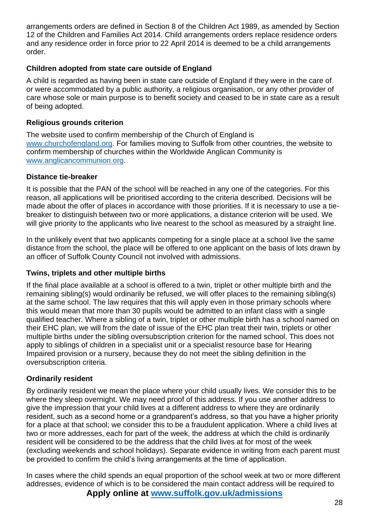arrangements orders are defined in Section 8 of the Children Act 1989, as amended by Section 12 of the Children and Families Act 2014. Child arrangements orders replace residence orders and any residence order in force prior to 22 April 2014 is deemed to be a child arrangements order.

#### **Children adopted from state care outside of England**

A child is regarded as having been in state care outside of England if they were in the care of or were accommodated by a public authority, a religious organisation, or any other provider of care whose sole or main purpose is to benefit society and ceased to be in state care as a result of being adopted.

#### **Religious grounds criterion**

The website used to confirm membership of the Church of England is [www.churchofengland.org.](http://www.churchofengland.org/) For families moving to Suffolk from other countries, the website to confirm membership of churches within the Worldwide Anglican Community is [www.anglicancommunion.org.](http://www.anglicancommunion.org/)

#### **Distance tie-breaker**

It is possible that the PAN of the school will be reached in any one of the categories. For this reason, all applications will be prioritised according to the criteria described. Decisions will be made about the offer of places in accordance with those priorities. If it is necessary to use a tiebreaker to distinguish between two or more applications, a distance criterion will be used. We will give priority to the applicants who live nearest to the school as measured by a straight line.

In the unlikely event that two applicants competing for a single place at a school live the same distance from the school, the place will be offered to one applicant on the basis of lots drawn by an officer of Suffolk County Council not involved with admissions.

#### **Twins, triplets and other multiple births**

If the final place available at a school is offered to a twin, triplet or other multiple birth and the remaining sibling(s) would ordinarily be refused, we will offer places to the remaining sibling(s) at the same school. The law requires that this will apply even in those primary schools where this would mean that more than 30 pupils would be admitted to an infant class with a single qualified teacher. Where a sibling of a twin, triplet or other multiple birth has a school named on their EHC plan, we will from the date of issue of the EHC plan treat their twin, triplets or other multiple births under the sibling oversubscription criterion for the named school. This does not apply to siblings of children in a specialist unit or a specialist resource base for Hearing Impaired provision or a nursery, because they do not meet the sibling definition in the oversubscription criteria.

#### <span id="page-27-0"></span>**Ordinarily resident**

By ordinarily resident we mean the place where your child usually lives. We consider this to be where they sleep overnight. We may need proof of this address. If you use another address to give the impression that your child lives at a different address to where they are ordinarily resident, such as a second home or a grandparent's address, so that you have a higher priority for a place at that school; we consider this to be a fraudulent application. Where a child lives at two or more addresses, each for part of the week, the address at which the child is ordinarily resident will be considered to be the address that the child lives at for most of the week (excluding weekends and school holidays). Separate evidence in writing from each parent must be provided to confirm the child's living arrangements at the time of application.

**Apply online at [www.suffolk.gov.uk/admissions](http://www.suffolk.gov.uk/admissions)** In cases where the child spends an equal proportion of the school week at two or more different addresses, evidence of which is to be considered the main contact address will be required to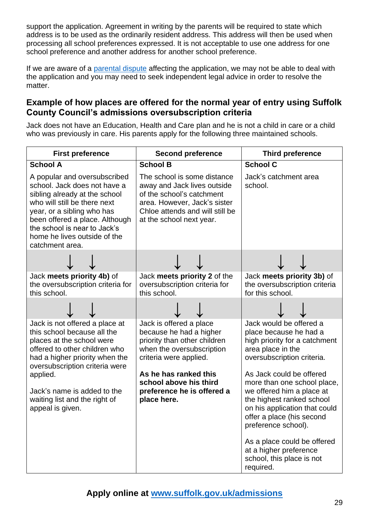support the application. Agreement in writing by the parents will be required to state which address is to be used as the ordinarily resident address. This address will then be used when processing all school preferences expressed. It is not acceptable to use one address for one school preference and another address for another school preference.

If we are aware of a [parental dispute](#page-21-1) affecting the application, we may not be able to deal with the application and you may need to seek independent legal advice in order to resolve the matter.

### <span id="page-28-0"></span>**Example of how places are offered for the normal year of entry using Suffolk County Council's admissions oversubscription criteria**

Jack does not have an Education, Health and Care plan and he is not a child in care or a child who was previously in care. His parents apply for the following three maintained schools.

| <b>First preference</b>                                                                                                                                                                                                                                                                         | <b>Second preference</b>                                                                                                                                                                                                                  | <b>Third preference</b>                                                                                                                                                                                                                                                                                                                                                                                                                            |
|-------------------------------------------------------------------------------------------------------------------------------------------------------------------------------------------------------------------------------------------------------------------------------------------------|-------------------------------------------------------------------------------------------------------------------------------------------------------------------------------------------------------------------------------------------|----------------------------------------------------------------------------------------------------------------------------------------------------------------------------------------------------------------------------------------------------------------------------------------------------------------------------------------------------------------------------------------------------------------------------------------------------|
| <b>School A</b>                                                                                                                                                                                                                                                                                 | <b>School B</b>                                                                                                                                                                                                                           | <b>School C</b>                                                                                                                                                                                                                                                                                                                                                                                                                                    |
| A popular and oversubscribed<br>school. Jack does not have a<br>sibling already at the school<br>who will still be there next<br>year, or a sibling who has<br>been offered a place. Although<br>the school is near to Jack's<br>home he lives outside of the<br>catchment area.                | The school is some distance<br>away and Jack lives outside<br>of the school's catchment<br>area. However, Jack's sister<br>Chloe attends and will still be<br>at the school next year.                                                    | Jack's catchment area<br>school.                                                                                                                                                                                                                                                                                                                                                                                                                   |
|                                                                                                                                                                                                                                                                                                 |                                                                                                                                                                                                                                           |                                                                                                                                                                                                                                                                                                                                                                                                                                                    |
| Jack meets priority 4b) of<br>the oversubscription criteria for<br>this school.                                                                                                                                                                                                                 | Jack meets priority 2 of the<br>oversubscription criteria for<br>this school.                                                                                                                                                             | Jack meets priority 3b) of<br>the oversubscription criteria<br>for this school.                                                                                                                                                                                                                                                                                                                                                                    |
|                                                                                                                                                                                                                                                                                                 |                                                                                                                                                                                                                                           |                                                                                                                                                                                                                                                                                                                                                                                                                                                    |
| Jack is not offered a place at<br>this school because all the<br>places at the school were<br>offered to other children who<br>had a higher priority when the<br>oversubscription criteria were<br>applied.<br>Jack's name is added to the<br>waiting list and the right of<br>appeal is given. | Jack is offered a place<br>because he had a higher<br>priority than other children<br>when the oversubscription<br>criteria were applied.<br>As he has ranked this<br>school above his third<br>preference he is offered a<br>place here. | Jack would be offered a<br>place because he had a<br>high priority for a catchment<br>area place in the<br>oversubscription criteria.<br>As Jack could be offered<br>more than one school place,<br>we offered him a place at<br>the highest ranked school<br>on his application that could<br>offer a place (his second<br>preference school).<br>As a place could be offered<br>at a higher preference<br>school, this place is not<br>required. |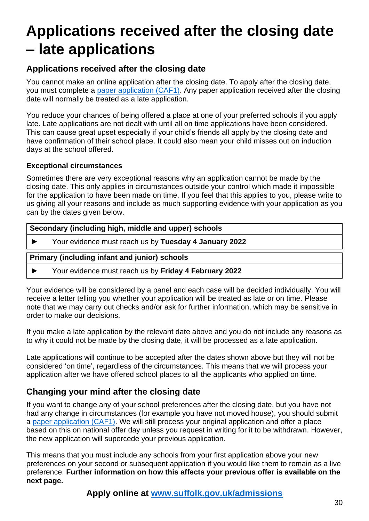## <span id="page-29-1"></span>**Applications received after the closing date – late applications**

## **Applications received after the closing date**

You cannot make an online application after the closing date. To apply after the closing date, you must complete a [paper application \(CAF1\).](https://www.suffolk.gov.uk/assets/Children-families-and-learning/schools/Admissions/CAF1-2022-2023.pdf) Any paper application received after the closing date will normally be treated as a late application.

You reduce your chances of being offered a place at one of your preferred schools if you apply late. Late applications are not dealt with until all on time applications have been considered. This can cause great upset especially if your child's friends all apply by the closing date and have confirmation of their school place. It could also mean your child misses out on induction days at the school offered.

#### <span id="page-29-2"></span>**Exceptional circumstances**

Sometimes there are very exceptional reasons why an application cannot be made by the closing date. This only applies in circumstances outside your control which made it impossible for the application to have been made on time. If you feel that this applies to you, please write to us giving all your reasons and include as much supporting evidence with your application as you can by the dates given below.

| Secondary (including high, middle and upper) schools |                                                       |  |
|------------------------------------------------------|-------------------------------------------------------|--|
|                                                      | Your evidence must reach us by Tuesday 4 January 2022 |  |
|                                                      | <b>Primary (including infant and junior) schools</b>  |  |
|                                                      |                                                       |  |

Your evidence will be considered by a panel and each case will be decided individually. You will receive a letter telling you whether your application will be treated as late or on time. Please note that we may carry out checks and/or ask for further information, which may be sensitive in order to make our decisions.

If you make a late application by the relevant date above and you do not include any reasons as to why it could not be made by the closing date, it will be processed as a late application.

Late applications will continue to be accepted after the dates shown above but they will not be considered 'on time', regardless of the circumstances. This means that we will process your application after we have offered school places to all the applicants who applied on time.

## <span id="page-29-0"></span>**Changing your mind after the closing date**

If you want to change any of your school preferences after the closing date, but you have not had any change in circumstances (for example you have not moved house), you should submit a paper [application \(CAF1\).](https://www.suffolk.gov.uk/assets/Children-families-and-learning/schools/Admissions/CAF1-2022-2023.pdf) We will still process your original application and offer a place based on this on national offer day unless you request in writing for it to be withdrawn. However, the new application will supercede your previous application.

This means that you must include any schools from your first application above your new preferences on your second or subsequent application if you would like them to remain as a live preference. **Further information on how this affects your previous offer is available on the next page.**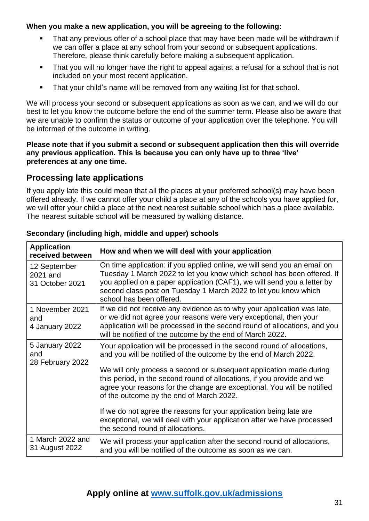#### **When you make a new application, you will be agreeing to the following:**

- That any previous offer of a school place that may have been made will be withdrawn if we can offer a place at any school from your second or subsequent applications. Therefore, please think carefully before making a subsequent application.
- That you will no longer have the right to appeal against a refusal for a school that is not included on your most recent application.
- **•** That your child's name will be removed from any waiting list for that school.

We will process your second or subsequent applications as soon as we can, and we will do our best to let you know the outcome before the end of the summer term. Please also be aware that we are unable to confirm the status or outcome of your application over the telephone. You will be informed of the outcome in writing.

#### **Please note that if you submit a second or subsequent application then this will override any previous application. This is because you can only have up to three 'live' preferences at any one time.**

## <span id="page-30-0"></span>**Processing late applications**

If you apply late this could mean that all the places at your preferred school(s) may have been offered already. If we cannot offer your child a place at any of the schools you have applied for, we will offer your child a place at the next nearest suitable school which has a place available. The nearest suitable school will be measured by walking distance.

| <b>Application</b><br>received between      | How and when we will deal with your application                                                                                                                                                                                                                                                                                                                                                                                                                                                                                                                                                          |
|---------------------------------------------|----------------------------------------------------------------------------------------------------------------------------------------------------------------------------------------------------------------------------------------------------------------------------------------------------------------------------------------------------------------------------------------------------------------------------------------------------------------------------------------------------------------------------------------------------------------------------------------------------------|
| 12 September<br>2021 and<br>31 October 2021 | On time application: if you applied online, we will send you an email on<br>Tuesday 1 March 2022 to let you know which school has been offered. If<br>you applied on a paper application (CAF1), we will send you a letter by<br>second class post on Tuesday 1 March 2022 to let you know which<br>school has been offered.                                                                                                                                                                                                                                                                             |
| 1 November 2021<br>and<br>4 January 2022    | If we did not receive any evidence as to why your application was late,<br>or we did not agree your reasons were very exceptional, then your<br>application will be processed in the second round of allocations, and you<br>will be notified of the outcome by the end of March 2022.                                                                                                                                                                                                                                                                                                                   |
| 5 January 2022<br>and<br>28 February 2022   | Your application will be processed in the second round of allocations,<br>and you will be notified of the outcome by the end of March 2022.<br>We will only process a second or subsequent application made during<br>this period, in the second round of allocations, if you provide and we<br>agree your reasons for the change are exceptional. You will be notified<br>of the outcome by the end of March 2022.<br>If we do not agree the reasons for your application being late are<br>exceptional, we will deal with your application after we have processed<br>the second round of allocations. |
| 1 March 2022 and<br>31 August 2022          | We will process your application after the second round of allocations,<br>and you will be notified of the outcome as soon as we can.                                                                                                                                                                                                                                                                                                                                                                                                                                                                    |

#### **Secondary (including high, middle and upper) schools**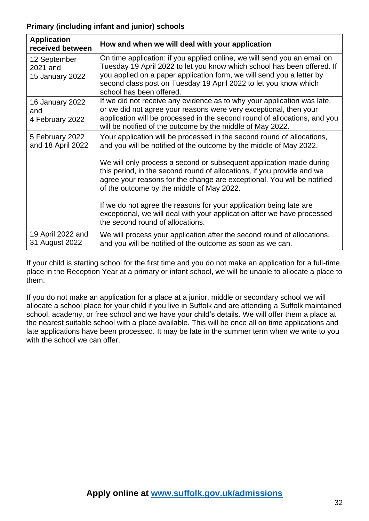#### **Primary (including infant and junior) schools**

| <b>Application</b><br>received between             | How and when we will deal with your application                                                                                                                                                                                                                                                                              |
|----------------------------------------------------|------------------------------------------------------------------------------------------------------------------------------------------------------------------------------------------------------------------------------------------------------------------------------------------------------------------------------|
| 12 September<br>2021 and<br><b>15 January 2022</b> | On time application: if you applied online, we will send you an email on<br>Tuesday 19 April 2022 to let you know which school has been offered. If<br>you applied on a paper application form, we will send you a letter by<br>second class post on Tuesday 19 April 2022 to let you know which<br>school has been offered. |
| <b>16 January 2022</b><br>and<br>4 February 2022   | If we did not receive any evidence as to why your application was late,<br>or we did not agree your reasons were very exceptional, then your<br>application will be processed in the second round of allocations, and you<br>will be notified of the outcome by the middle of May 2022.                                      |
| 5 February 2022<br>and 18 April 2022               | Your application will be processed in the second round of allocations,<br>and you will be notified of the outcome by the middle of May 2022.                                                                                                                                                                                 |
|                                                    | We will only process a second or subsequent application made during<br>this period, in the second round of allocations, if you provide and we<br>agree your reasons for the change are exceptional. You will be notified<br>of the outcome by the middle of May 2022.                                                        |
|                                                    | If we do not agree the reasons for your application being late are<br>exceptional, we will deal with your application after we have processed<br>the second round of allocations.                                                                                                                                            |
| 19 April 2022 and<br>31 August 2022                | We will process your application after the second round of allocations,<br>and you will be notified of the outcome as soon as we can.                                                                                                                                                                                        |

If your child is starting school for the first time and you do not make an application for a full-time place in the Reception Year at a primary or infant school, we will be unable to allocate a place to them.

If you do not make an application for a place at a junior, middle or secondary school we will allocate a school place for your child if you live in Suffolk and are attending a Suffolk maintained school, academy, or free school and we have your child's details. We will offer them a place at the nearest suitable school with a place available. This will be once all on time applications and late applications have been processed. It may be late in the summer term when we write to you with the school we can offer.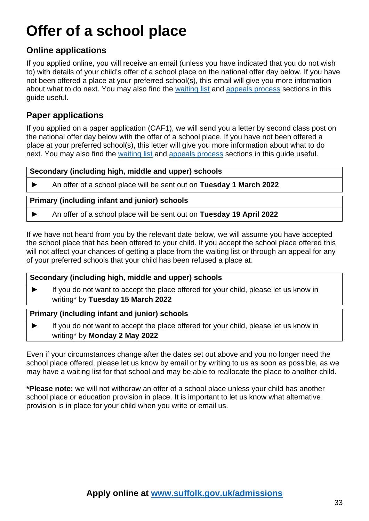## <span id="page-32-0"></span>**Offer of a school place**

## **Online applications**

If you applied online, you will receive an email (unless you have indicated that you do not wish to) with details of your child's offer of a school place on the national offer day below. If you have not been offered a place at your preferred school(s), this email will give you more information about what to do next. You may also find the [waiting list](#page-33-0) and [appeals process](#page-35-0) sections in this guide useful.

## **Paper applications**

If you applied on a paper application (CAF1), we will send you a letter by second class post on the national offer day below with the offer of a school place. If you have not been offered a place at your preferred school(s), this letter will give you more information about what to do next. You may also find the [waiting](#page-33-0) list and [appeals process](#page-35-0) sections in this quide useful.

#### **Secondary (including high, middle and upper) schools**

► An offer of a school place will be sent out on **Tuesday 1 March 2022**

#### **Primary (including infant and junior) schools**

► An offer of a school place will be sent out on **Tuesday 19 April 2022**

If we have not heard from you by the relevant date below, we will assume you have accepted the school place that has been offered to your child. If you accept the school place offered this will not affect your chances of getting a place from the waiting list or through an appeal for any of your preferred schools that your child has been refused a place at.

#### **Secondary (including high, middle and upper) schools**

► If you do not want to accept the place offered for your child, please let us know in writing\* by **Tuesday 15 March 2022**

#### **Primary (including infant and junior) schools**

► If you do not want to accept the place offered for your child, please let us know in writing\* by **Monday 2 May 2022**

Even if your circumstances change after the dates set out above and you no longer need the school place offered, please let us know by email or by writing to us as soon as possible, as we may have a waiting list for that school and may be able to reallocate the place to another child.

**\*Please note:** we will not withdraw an offer of a school place unless your child has another school place or education provision in place. It is important to let us know what alternative provision is in place for your child when you write or email us.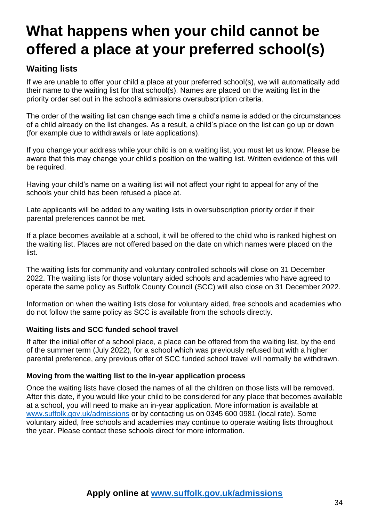## <span id="page-33-0"></span>**What happens when your child cannot be offered a place at your preferred school(s)**

## **Waiting lists**

If we are unable to offer your child a place at your preferred school(s), we will automatically add their name to the waiting list for that school(s). Names are placed on the waiting list in the priority order set out in the school's admissions oversubscription criteria.

The order of the waiting list can change each time a child's name is added or the circumstances of a child already on the list changes. As a result, a child's place on the list can go up or down (for example due to withdrawals or late applications).

If you change your address while your child is on a waiting list, you must let us know. Please be aware that this may change your child's position on the waiting list. Written evidence of this will be required.

Having your child's name on a waiting list will not affect your right to appeal for any of the schools your child has been refused a place at.

Late applicants will be added to any waiting lists in oversubscription priority order if their parental preferences cannot be met.

If a place becomes available at a school, it will be offered to the child who is ranked highest on the waiting list. Places are not offered based on the date on which names were placed on the list.

The waiting lists for community and voluntary controlled schools will close on 31 December 2022. The waiting lists for those voluntary aided schools and academies who have agreed to operate the same policy as Suffolk County Council (SCC) will also close on 31 December 2022.

Information on when the waiting lists close for voluntary aided, free schools and academies who do not follow the same policy as SCC is available from the schools directly.

#### **Waiting lists and SCC funded school travel**

If after the initial offer of a school place, a place can be offered from the waiting list, by the end of the summer term (July 2022), for a school which was previously refused but with a higher parental preference, any previous offer of SCC funded school travel will normally be withdrawn.

#### **Moving from the waiting list to the in-year application process**

Once the waiting lists have closed the names of all the children on those lists will be removed. After this date, if you would like your child to be considered for any place that becomes available at a school, you will need to make an in-year application. More information is available at [www.suffolk.gov.uk/admissions](http://www.suffolk.gov.uk/admissions) or by contacting us on 0345 600 0981 (local rate). Some voluntary aided, free schools and academies may continue to operate waiting lists throughout the year. Please contact these schools direct for more information.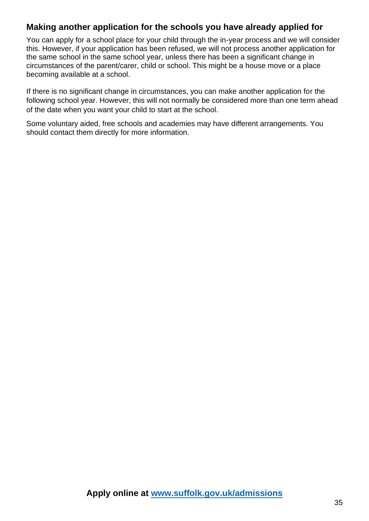### <span id="page-34-0"></span>**Making another application for the schools you have already applied for**

You can apply for a school place for your child through the in-year process and we will consider this. However, if your application has been refused, we will not process another application for the same school in the same school year, unless there has been a significant change in circumstances of the parent/carer, child or school. This might be a house move or a place becoming available at a school.

If there is no significant change in circumstances, you can make another application for the following school year. However, this will not normally be considered more than one term ahead of the date when you want your child to start at the school.

Some voluntary aided, free schools and academies may have different arrangements. You should contact them directly for more information.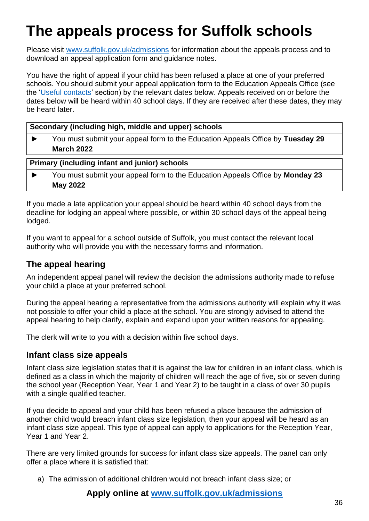## <span id="page-35-0"></span>**The appeals process for Suffolk schools**

Please visit [www.suffolk.gov.uk/admissions](http://www.suffolk.gov.uk/admissions) for information about the appeals process and to download an appeal application form and guidance notes.

You have the right of appeal if your child has been refused a place at one of your preferred schools. You should submit your appeal application form to the Education Appeals Office (see the ['Useful contacts'](#page-54-0) section) by the relevant dates below. Appeals received on or before the dates below will be heard within 40 school days. If they are received after these dates, they may be heard later.

|  |  |  | Secondary (including high, middle and upper) schools |  |  |
|--|--|--|------------------------------------------------------|--|--|
|--|--|--|------------------------------------------------------|--|--|

► You must submit your appeal form to the Education Appeals Office by **Tuesday 29 March 2022**

#### **Primary (including infant and junior) schools**

► You must submit your appeal form to the Education Appeals Office by **Monday 23 May 2022**

If you made a late application your appeal should be heard within 40 school days from the deadline for lodging an appeal where possible, or within 30 school days of the appeal being lodged.

If you want to appeal for a school outside of Suffolk, you must contact the relevant local authority who will provide you with the necessary forms and information.

### **The appeal hearing**

An independent appeal panel will review the decision the admissions authority made to refuse your child a place at your preferred school.

During the appeal hearing a representative from the admissions authority will explain why it was not possible to offer your child a place at the school. You are strongly advised to attend the appeal hearing to help clarify, explain and expand upon your written reasons for appealing.

The clerk will write to you with a decision within five school days.

#### **Infant class size appeals**

Infant class size legislation states that it is against the law for children in an infant class, which is defined as a class in which the majority of children will reach the age of five, six or seven during the school year (Reception Year, Year 1 and Year 2) to be taught in a class of over 30 pupils with a single qualified teacher.

If you decide to appeal and your child has been refused a place because the admission of another child would breach infant class size legislation, then your appeal will be heard as an infant class size appeal. This type of appeal can apply to applications for the Reception Year, Year 1 and Year 2.

There are very limited grounds for success for infant class size appeals. The panel can only offer a place where it is satisfied that:

a) The admission of additional children would not breach infant class size; or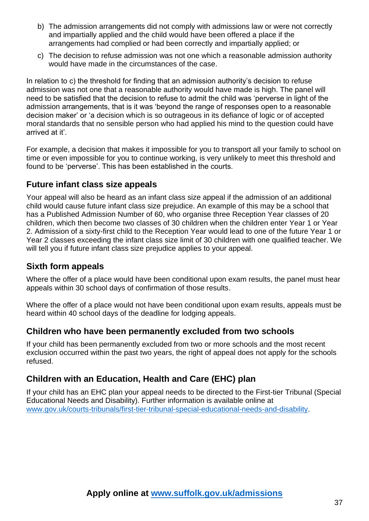- b) The admission arrangements did not comply with admissions law or were not correctly and impartially applied and the child would have been offered a place if the arrangements had complied or had been correctly and impartially applied; or
- c) The decision to refuse admission was not one which a reasonable admission authority would have made in the circumstances of the case.

In relation to c) the threshold for finding that an admission authority's decision to refuse admission was not one that a reasonable authority would have made is high. The panel will need to be satisfied that the decision to refuse to admit the child was 'perverse in light of the admission arrangements, that is it was 'beyond the range of responses open to a reasonable decision maker' or 'a decision which is so outrageous in its defiance of logic or of accepted moral standards that no sensible person who had applied his mind to the question could have arrived at it'.

For example, a decision that makes it impossible for you to transport all your family to school on time or even impossible for you to continue working, is very unlikely to meet this threshold and found to be 'perverse'. This has been established in the courts.

### **Future infant class size appeals**

Your appeal will also be heard as an infant class size appeal if the admission of an additional child would cause future infant class size prejudice. An example of this may be a school that has a Published Admission Number of 60, who organise three Reception Year classes of 20 children, which then become two classes of 30 children when the children enter Year 1 or Year 2. Admission of a sixty-first child to the Reception Year would lead to one of the future Year 1 or Year 2 classes exceeding the infant class size limit of 30 children with one qualified teacher. We will tell you if future infant class size prejudice applies to your appeal.

## **Sixth form appeals**

Where the offer of a place would have been conditional upon exam results, the panel must hear appeals within 30 school days of confirmation of those results.

Where the offer of a place would not have been conditional upon exam results, appeals must be heard within 40 school days of the deadline for lodging appeals.

### **Children who have been permanently excluded from two schools**

If your child has been permanently excluded from two or more schools and the most recent exclusion occurred within the past two years, the right of appeal does not apply for the schools refused.

## **Children with an Education, Health and Care (EHC) plan**

If your child has an EHC plan your appeal needs to be directed to the First-tier Tribunal (Special Educational Needs and Disability). Further information is available online at [www.gov.uk/courts-tribunals/first-tier-tribunal-special-educational-needs-and-disability.](http://www.gov.uk/courts-tribunals/first-tier-tribunal-special-educational-needs-and-disability)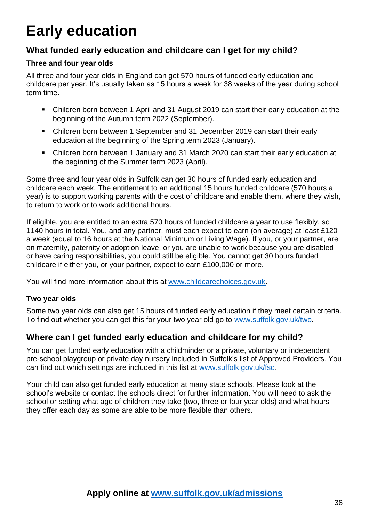## <span id="page-37-0"></span>**Early education**

## **What funded early education and childcare can I get for my child?**

#### **Three and four year olds**

All three and four year olds in England can get 570 hours of funded early education and childcare per year. It's usually taken as 15 hours a week for 38 weeks of the year during school term time.

- Children born between 1 April and 31 August 2019 can start their early education at the beginning of the Autumn term 2022 (September).
- Children born between 1 September and 31 December 2019 can start their early education at the beginning of the Spring term 2023 (January).
- Children born between 1 January and 31 March 2020 can start their early education at the beginning of the Summer term 2023 (April).

Some three and four year olds in Suffolk can get 30 hours of funded early education and childcare each week. The entitlement to an additional 15 hours funded childcare (570 hours a year) is to support working parents with the cost of childcare and enable them, where they wish, to return to work or to work additional hours.

If eligible, you are entitled to an extra 570 hours of funded childcare a year to use flexibly, so 1140 hours in total. You, and any partner, must each expect to earn (on average) at least £120 a week (equal to 16 hours at the National Minimum or Living Wage). If you, or your partner, are on maternity, paternity or adoption leave, or you are unable to work because you are disabled or have caring responsibilities, you could still be eligible. You cannot get 30 hours funded childcare if either you, or your partner, expect to earn £100,000 or more.

You will find more information about this at [www.childcarechoices.gov.uk.](http://www.childcarechoices.gov.uk/)

#### **Two year olds**

Some two year olds can also get 15 hours of funded early education if they meet certain criteria. To find out whether you can get this for your two year old go to [www.suffolk.gov.uk/two.](http://www.suffolk.gov.uk/two)

### **Where can I get funded early education and childcare for my child?**

You can get funded early education with a childminder or a private, voluntary or independent pre-school playgroup or private day nursery included in Suffolk's list of Approved Providers. You can find out which settings are included in this list at [www.suffolk.gov.uk/fsd.](http://www.suffolk.gov.uk/fsd)

Your child can also get funded early education at many state schools. Please look at the school's website or contact the schools direct for further information. You will need to ask the school or setting what age of children they take (two, three or four year olds) and what hours they offer each day as some are able to be more flexible than others.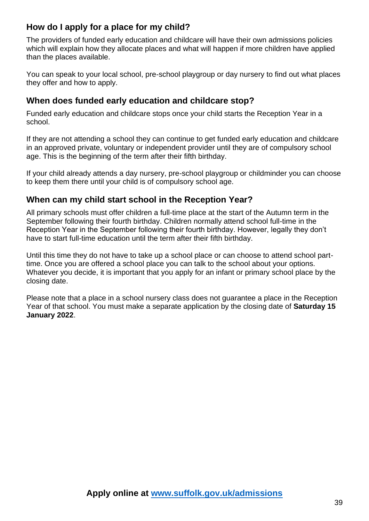## **How do I apply for a place for my child?**

The providers of funded early education and childcare will have their own admissions policies which will explain how they allocate places and what will happen if more children have applied than the places available.

You can speak to your local school, pre-school playgroup or day nursery to find out what places they offer and how to apply.

### **When does funded early education and childcare stop?**

Funded early education and childcare stops once your child starts the Reception Year in a school.

If they are not attending a school they can continue to get funded early education and childcare in an approved private, voluntary or independent provider until they are of compulsory school age. This is the beginning of the term after their fifth birthday.

If your child already attends a day nursery, pre-school playgroup or childminder you can choose to keep them there until your child is of compulsory school age.

## **When can my child start school in the Reception Year?**

All primary schools must offer children a full-time place at the start of the Autumn term in the September following their fourth birthday. Children normally attend school full-time in the Reception Year in the September following their fourth birthday. However, legally they don't have to start full-time education until the term after their fifth birthday.

Until this time they do not have to take up a school place or can choose to attend school parttime. Once you are offered a school place you can talk to the school about your options. Whatever you decide, it is important that you apply for an infant or primary school place by the closing date.

Please note that a place in a school nursery class does not guarantee a place in the Reception Year of that school. You must make a separate application by the closing date of **Saturday 15 January 2022**.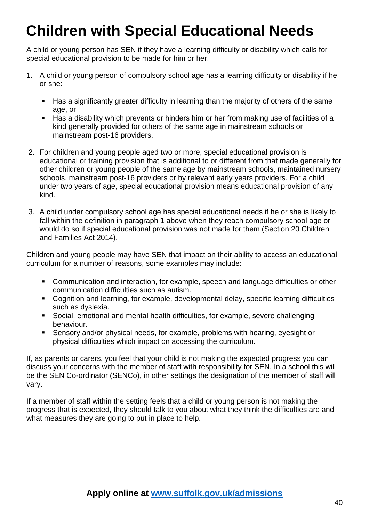## <span id="page-39-0"></span>**Children with Special Educational Needs**

A child or young person has SEN if they have a learning difficulty or disability which calls for special educational provision to be made for him or her.

- 1. A child or young person of compulsory school age has a learning difficulty or disability if he or she:
	- Has a significantly greater difficulty in learning than the majority of others of the same age, or
	- Has a disability which prevents or hinders him or her from making use of facilities of a kind generally provided for others of the same age in mainstream schools or mainstream post-16 providers.
- 2. For children and young people aged two or more, special educational provision is educational or training provision that is additional to or different from that made generally for other children or young people of the same age by mainstream schools, maintained nursery schools, mainstream post-16 providers or by relevant early years providers. For a child under two years of age, special educational provision means educational provision of any kind.
- 3. A child under compulsory school age has special educational needs if he or she is likely to fall within the definition in paragraph 1 above when they reach compulsory school age or would do so if special educational provision was not made for them (Section 20 Children and Families Act 2014).

Children and young people may have SEN that impact on their ability to access an educational curriculum for a number of reasons, some examples may include:

- Communication and interaction, for example, speech and language difficulties or other communication difficulties such as autism.
- Cognition and learning, for example, developmental delay, specific learning difficulties such as dyslexia.
- Social, emotional and mental health difficulties, for example, severe challenging behaviour.
- Sensory and/or physical needs, for example, problems with hearing, eyesight or physical difficulties which impact on accessing the curriculum.

If, as parents or carers, you feel that your child is not making the expected progress you can discuss your concerns with the member of staff with responsibility for SEN. In a school this will be the SEN Co-ordinator (SENCo), in other settings the designation of the member of staff will vary.

If a member of staff within the setting feels that a child or young person is not making the progress that is expected, they should talk to you about what they think the difficulties are and what measures they are going to put in place to help.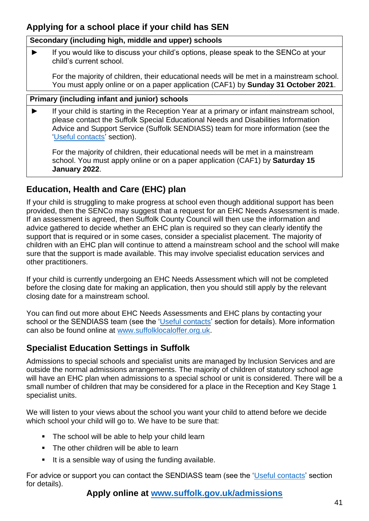## **Applying for a school place if your child has SEN**

#### **Secondary (including high, middle and upper) schools**

If you would like to discuss your child's options, please speak to the SENCo at your child's current school.

For the majority of children, their educational needs will be met in a mainstream school. You must apply online or on a paper application (CAF1) by **Sunday 31 October 2021**.

#### **Primary (including infant and junior) schools**

If your child is starting in the Reception Year at a primary or infant mainstream school, please contact the Suffolk Special Educational Needs and Disabilities Information Advice and Support Service (Suffolk SENDIASS) team for more information (see the ['Useful contacts'](#page-54-0) section).

For the majority of children, their educational needs will be met in a mainstream school. You must apply online or on a paper application (CAF1) by **Saturday 15 January 2022**.

## **Education, Health and Care (EHC) plan**

If your child is struggling to make progress at school even though additional support has been provided, then the SENCo may suggest that a request for an EHC Needs Assessment is made. If an assessment is agreed, then Suffolk County Council will then use the information and advice gathered to decide whether an EHC plan is required so they can clearly identify the support that is required or in some cases, consider a specialist placement. The majority of children with an EHC plan will continue to attend a mainstream school and the school will make sure that the support is made available. This may involve specialist education services and other practitioners.

If your child is currently undergoing an EHC Needs Assessment which will not be completed before the closing date for making an application, then you should still apply by the relevant closing date for a mainstream school.

You can find out more about EHC Needs Assessments and EHC plans by contacting your school or the SENDIASS team (see the ['Useful contacts'](#page-54-0) section for details). More information can also be found online at [www.suffolklocaloffer.org.uk.](http://www.suffolklocaloffer.org.uk/)

## **Specialist Education Settings in Suffolk**

Admissions to special schools and specialist units are managed by Inclusion Services and are outside the normal admissions arrangements. The majority of children of statutory school age will have an EHC plan when admissions to a special school or unit is considered. There will be a small number of children that may be considered for a place in the Reception and Key Stage 1 specialist units.

We will listen to your views about the school you want your child to attend before we decide which school your child will go to. We have to be sure that:

- The school will be able to help your child learn
- The other children will be able to learn
- It is a sensible way of using the funding available.

For advice or support you can contact the SENDIASS team (see the ['Useful contacts'](#page-54-0) section for details).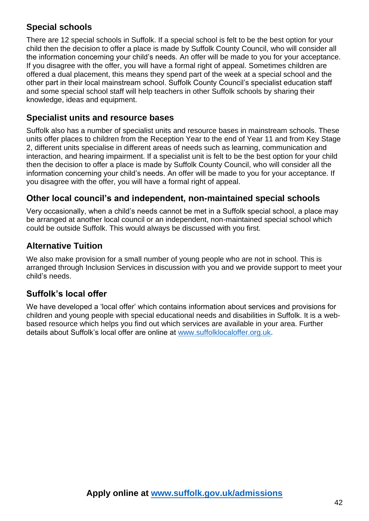## **Special schools**

There are 12 special schools in Suffolk. If a special school is felt to be the best option for your child then the decision to offer a place is made by Suffolk County Council, who will consider all the information concerning your child's needs. An offer will be made to you for your acceptance. If you disagree with the offer, you will have a formal right of appeal. Sometimes children are offered a dual placement, this means they spend part of the week at a special school and the other part in their local mainstream school. Suffolk County Council's specialist education staff and some special school staff will help teachers in other Suffolk schools by sharing their knowledge, ideas and equipment.

### **Specialist units and resource bases**

Suffolk also has a number of specialist units and resource bases in mainstream schools. These units offer places to children from the Reception Year to the end of Year 11 and from Key Stage 2, different units specialise in different areas of needs such as learning, communication and interaction, and hearing impairment. If a specialist unit is felt to be the best option for your child then the decision to offer a place is made by Suffolk County Council, who will consider all the information concerning your child's needs. An offer will be made to you for your acceptance. If you disagree with the offer, you will have a formal right of appeal.

## **Other local council's and independent, non-maintained special schools**

Very occasionally, when a child's needs cannot be met in a Suffolk special school, a place may be arranged at another local council or an independent, non-maintained special school which could be outside Suffolk. This would always be discussed with you first.

## **Alternative Tuition**

We also make provision for a small number of young people who are not in school. This is arranged through Inclusion Services in discussion with you and we provide support to meet your child's needs.

## **Suffolk's local offer**

We have developed a 'local offer' which contains information about services and provisions for children and young people with special educational needs and disabilities in Suffolk. It is a webbased resource which helps you find out which services are available in your area. Further details about Suffolk's local offer are online at [www.suffolklocaloffer.org.uk.](http://www.suffolklocaloffer.org.uk/)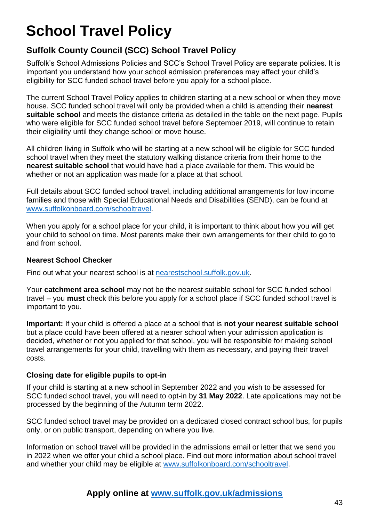## <span id="page-42-0"></span>**School Travel Policy**

## **Suffolk County Council (SCC) School Travel Policy**

Suffolk's School Admissions Policies and SCC's School Travel Policy are separate policies. It is important you understand how your school admission preferences may affect your child's eligibility for SCC funded school travel before you apply for a school place.

The current School Travel Policy applies to children starting at a new school or when they move house. SCC funded school travel will only be provided when a child is attending their **nearest suitable school** and meets the distance criteria as detailed in the table on the next page. Pupils who were eligible for SCC funded school travel before September 2019, will continue to retain their eligibility until they change school or move house.

All children living in Suffolk who will be starting at a new school will be eligible for SCC funded school travel when they meet the statutory walking distance criteria from their home to the **nearest suitable school** that would have had a place available for them. This would be whether or not an application was made for a place at that school.

Full details about SCC funded school travel, including additional arrangements for low income families and those with Special Educational Needs and Disabilities (SEND), can be found at [www.suffolkonboard.com/schooltravel](http://www.suffolkonboard.com/schooltravel).

When you apply for a school place for your child, it is important to think about how you will get your child to school on time. Most parents make their own arrangements for their child to go to and from school.

#### **Nearest School Checker**

Find out what your nearest school is at [nearestschool.suffolk.gov.uk.](http://nearestschool.suffolk.gov.uk/)

Your **catchment area school** may not be the nearest suitable school for SCC funded school travel – you **must** check this before you apply for a school place if SCC funded school travel is important to you.

**Important:** If your child is offered a place at a school that is **not your nearest suitable school** but a place could have been offered at a nearer school when your admission application is decided, whether or not you applied for that school, you will be responsible for making school travel arrangements for your child, travelling with them as necessary, and paying their travel costs.

#### **Closing date for eligible pupils to opt-in**

If your child is starting at a new school in September 2022 and you wish to be assessed for SCC funded school travel, you will need to opt-in by **31 May 2022**. Late applications may not be processed by the beginning of the Autumn term 2022.

SCC funded school travel may be provided on a dedicated closed contract school bus, for pupils only, or on public transport, depending on where you live.

Information on school travel will be provided in the admissions email or letter that we send you in 2022 when we offer your child a school place. Find out more information about school travel and whether your child may be eligible at [www.suffolkonboard.com/schooltravel.](http://www.suffolkonboard.com/schooltravel)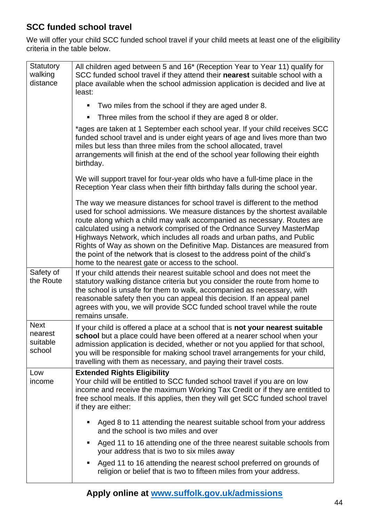## <span id="page-43-1"></span>**SCC funded school travel**

We will offer your child SCC funded school travel if your child meets at least one of the eligibility criteria in the table below.

<span id="page-43-0"></span>

| <b>Statutory</b><br>walking<br>distance      | All children aged between 5 and 16* (Reception Year to Year 11) qualify for<br>SCC funded school travel if they attend their nearest suitable school with a<br>place available when the school admission application is decided and live at<br>least:                                                                                                                                                                                                                                                                                                                                                   |
|----------------------------------------------|---------------------------------------------------------------------------------------------------------------------------------------------------------------------------------------------------------------------------------------------------------------------------------------------------------------------------------------------------------------------------------------------------------------------------------------------------------------------------------------------------------------------------------------------------------------------------------------------------------|
|                                              | Two miles from the school if they are aged under 8.                                                                                                                                                                                                                                                                                                                                                                                                                                                                                                                                                     |
|                                              | Three miles from the school if they are aged 8 or older.<br>ш                                                                                                                                                                                                                                                                                                                                                                                                                                                                                                                                           |
|                                              | *ages are taken at 1 September each school year. If your child receives SCC<br>funded school travel and is under eight years of age and lives more than two<br>miles but less than three miles from the school allocated, travel<br>arrangements will finish at the end of the school year following their eighth<br>birthday.                                                                                                                                                                                                                                                                          |
|                                              | We will support travel for four-year olds who have a full-time place in the<br>Reception Year class when their fifth birthday falls during the school year.                                                                                                                                                                                                                                                                                                                                                                                                                                             |
|                                              | The way we measure distances for school travel is different to the method<br>used for school admissions. We measure distances by the shortest available<br>route along which a child may walk accompanied as necessary. Routes are<br>calculated using a network comprised of the Ordnance Survey MasterMap<br>Highways Network, which includes all roads and urban paths, and Public<br>Rights of Way as shown on the Definitive Map. Distances are measured from<br>the point of the network that is closest to the address point of the child's<br>home to the nearest gate or access to the school. |
| Safety of<br>the Route                       | If your child attends their nearest suitable school and does not meet the<br>statutory walking distance criteria but you consider the route from home to<br>the school is unsafe for them to walk, accompanied as necessary, with<br>reasonable safety then you can appeal this decision. If an appeal panel<br>agrees with you, we will provide SCC funded school travel while the route<br>remains unsafe.                                                                                                                                                                                            |
| <b>Next</b><br>nearest<br>suitable<br>school | If your child is offered a place at a school that is not your nearest suitable<br>school but a place could have been offered at a nearer school when your<br>admission application is decided, whether or not you applied for that school,<br>you will be responsible for making school travel arrangements for your child,<br>travelling with them as necessary, and paying their travel costs.                                                                                                                                                                                                        |
| Low<br>income                                | <b>Extended Rights Eligibility</b><br>Your child will be entitled to SCC funded school travel if you are on low<br>income and receive the maximum Working Tax Credit or if they are entitled to<br>free school meals. If this applies, then they will get SCC funded school travel<br>if they are either:                                                                                                                                                                                                                                                                                               |
|                                              | Aged 8 to 11 attending the nearest suitable school from your address<br>and the school is two miles and over                                                                                                                                                                                                                                                                                                                                                                                                                                                                                            |
|                                              | Aged 11 to 16 attending one of the three nearest suitable schools from<br>ш<br>your address that is two to six miles away                                                                                                                                                                                                                                                                                                                                                                                                                                                                               |
|                                              | Aged 11 to 16 attending the nearest school preferred on grounds of<br>$\blacksquare$<br>religion or belief that is two to fifteen miles from your address.                                                                                                                                                                                                                                                                                                                                                                                                                                              |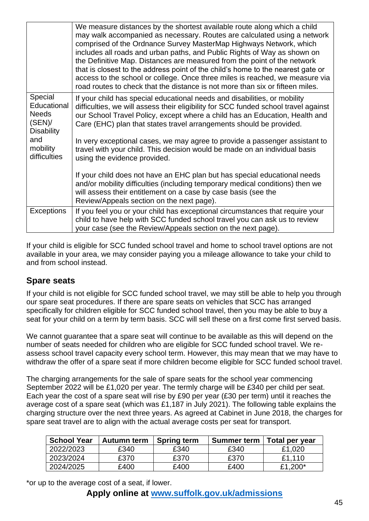|                                                                      | We measure distances by the shortest available route along which a child<br>may walk accompanied as necessary. Routes are calculated using a network<br>comprised of the Ordnance Survey MasterMap Highways Network, which<br>includes all roads and urban paths, and Public Rights of Way as shown on<br>the Definitive Map. Distances are measured from the point of the network<br>that is closest to the address point of the child's home to the nearest gate or<br>access to the school or college. Once three miles is reached, we measure via<br>road routes to check that the distance is not more than six or fifteen miles. |
|----------------------------------------------------------------------|----------------------------------------------------------------------------------------------------------------------------------------------------------------------------------------------------------------------------------------------------------------------------------------------------------------------------------------------------------------------------------------------------------------------------------------------------------------------------------------------------------------------------------------------------------------------------------------------------------------------------------------|
| Special<br>Educational<br><b>Needs</b><br>(SEN)<br><b>Disability</b> | If your child has special educational needs and disabilities, or mobility<br>difficulties, we will assess their eligibility for SCC funded school travel against<br>our School Travel Policy, except where a child has an Education, Health and<br>Care (EHC) plan that states travel arrangements should be provided.                                                                                                                                                                                                                                                                                                                 |
| and<br>mobility<br>difficulties                                      | In very exceptional cases, we may agree to provide a passenger assistant to<br>travel with your child. This decision would be made on an individual basis<br>using the evidence provided.                                                                                                                                                                                                                                                                                                                                                                                                                                              |
|                                                                      | If your child does not have an EHC plan but has special educational needs<br>and/or mobility difficulties (including temporary medical conditions) then we<br>will assess their entitlement on a case by case basis (see the<br>Review/Appeals section on the next page).                                                                                                                                                                                                                                                                                                                                                              |
| <b>Exceptions</b>                                                    | If you feel you or your child has exceptional circumstances that require your<br>child to have help with SCC funded school travel you can ask us to review<br>your case (see the Review/Appeals section on the next page).                                                                                                                                                                                                                                                                                                                                                                                                             |

If your child is eligible for SCC funded school travel and home to school travel options are not available in your area, we may consider paying you a mileage allowance to take your child to and from school instead.

#### **Spare seats**

If your child is not eligible for SCC funded school travel, we may still be able to help you through our spare seat procedures. If there are spare seats on vehicles that SCC has arranged specifically for children eligible for SCC funded school travel, then you may be able to buy a seat for your child on a term by term basis. SCC will sell these on a first come first served basis.

We cannot guarantee that a spare seat will continue to be available as this will depend on the number of seats needed for children who are eligible for SCC funded school travel. We reassess school travel capacity every school term. However, this may mean that we may have to withdraw the offer of a spare seat if more children become eligible for SCC funded school travel.

The charging arrangements for the sale of spare seats for the school year commencing September 2022 will be £1,020 per year. The termly charge will be £340 per child per seat. Each year the cost of a spare seat will rise by £90 per year (£30 per term) until it reaches the average cost of a spare seat (which was £1,187 in July 2021). The following table explains the charging structure over the next three years. As agreed at Cabinet in June 2018, the charges for spare seat travel are to align with the actual average costs per seat for transport.

| <b>School Year</b> | Autumn term | <b>Spring term</b> | <b>Summer term</b> | Total per year |
|--------------------|-------------|--------------------|--------------------|----------------|
| 2022/2023          | £340        | £340               | £340               | £1,020         |
| 2023/2024          | £370        | £370               | £370               | £1.110         |
| 2024/2025          | £400        | £400               | £400               | £1,200*        |

\*or up to the average cost of a seat, if lower.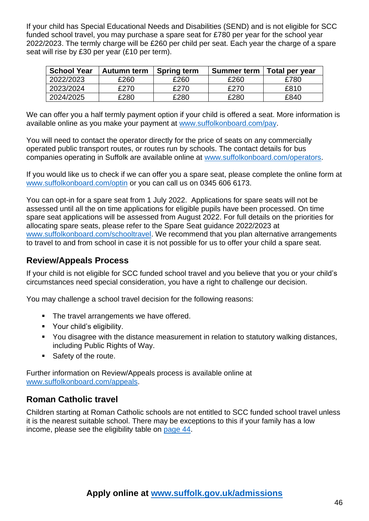If your child has Special Educational Needs and Disabilities (SEND) and is not eligible for SCC funded school travel, you may purchase a spare seat for £780 per year for the school year 2022/2023. The termly charge will be £260 per child per seat. Each year the charge of a spare seat will rise by £30 per year (£10 per term).

| <b>School Year</b> | Autumn term | <b>Spring term</b> | <b>Summer term</b> | Total per year |
|--------------------|-------------|--------------------|--------------------|----------------|
| 2022/2023          | £260        | £260               | £260               | £780           |
| 2023/2024          | £270        | £270               | £270               | £810           |
| 2024/2025          | £280        | £280               | £280               | £840           |

We can offer you a half termly payment option if your child is offered a seat. More information is available online as you make your payment at [www.suffolkonboard.com/pay.](http://www.suffolkonboard.com/pay)

You will need to contact the operator directly for the price of seats on any commercially operated public transport routes, or routes run by schools. The contact details for bus companies operating in Suffolk are available online at [www.suffolkonboard.com/operators.](http://www.suffolkonboard.com/operators)

If you would like us to check if we can offer you a spare seat, please complete the online form at [www.suffolkonboard.com/optin](http://www.suffolkonboard.com/optin) or you can call us on 0345 606 6173.

You can opt-in for a spare seat from 1 July 2022. Applications for spare seats will not be assessed until all the on time applications for eligible pupils have been processed. On time spare seat applications will be assessed from August 2022. For full details on the priorities for allocating spare seats, please refer to the Spare Seat guidance 2022/2023 at [www.suffolkonboard.com/schooltravel.](http://www.suffolkonboard.com/schooltravel) We recommend that you plan alternative arrangements to travel to and from school in case it is not possible for us to offer your child a spare seat.

#### **Review/Appeals Process**

If your child is not eligible for SCC funded school travel and you believe that you or your child's circumstances need special consideration, you have a right to challenge our decision.

You may challenge a school travel decision for the following reasons:

- The travel arrangements we have offered.
- Your child's eligibility.
- You disagree with the distance measurement in relation to statutory walking distances, including Public Rights of Way.
- Safety of the route.

Further information on Review/Appeals process is available online at [www.suffolkonboard.com/appeals.](http://www.suffolkonboard.com/appeals)

### **Roman Catholic travel**

Children starting at Roman Catholic schools are not entitled to SCC funded school travel unless it is the nearest suitable school. There may be exceptions to this if your family has a low income, please see the eligibility table on [page 44.](#page-43-1)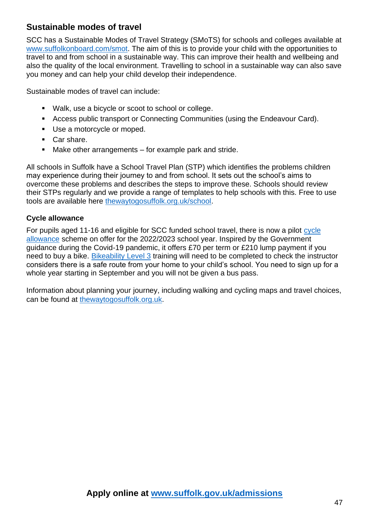## **Sustainable modes of travel**

SCC has a Sustainable Modes of Travel Strategy (SMoTS) for schools and colleges available at [www.suffolkonboard.com/smot.](http://www.suffolkonboard.com/smot) The aim of this is to provide your child with the opportunities to travel to and from school in a sustainable way. This can improve their health and wellbeing and also the quality of the local environment. Travelling to school in a sustainable way can also save you money and can help your child develop their independence.

Sustainable modes of travel can include:

- Walk, use a bicycle or scoot to school or college.
- Access public transport or Connecting Communities (using the Endeavour Card).
- Use a motorcycle or moped.
- Car share.
- Make other arrangements for example park and stride.

All schools in Suffolk have a School Travel Plan (STP) which identifies the problems children may experience during their journey to and from school. It sets out the school's aims to overcome these problems and describes the steps to improve these. Schools should review their STPs regularly and we provide a range of templates to help schools with this. Free to use tools are available here [thewaytogosuffolk.org.uk/school.](https://thewaytogosuffolk.org.uk/school/)

#### **Cycle allowance**

For pupils aged 11-16 and eligible for SCC funded school travel, there is now a pilot [cycle](https://www.suffolkonboard.com/school-travel/travel-options/walk-or-cycle/cycle-allowance-pilot-for-2021-22/)  [allowance](https://www.suffolkonboard.com/school-travel/travel-options/walk-or-cycle/cycle-allowance-pilot-for-2021-22/) scheme on offer for the 2022/2023 school year. Inspired by the Government guidance during the Covid-19 pandemic, it offers £70 per term or £210 lump payment if you need to buy a bike. [Bikeability Level 3](https://bikeability.org.uk/bikeability-training/bikeability-level-3/) training will need to be completed to check the instructor considers there is a safe route from your home to your child's school. You need to sign up for a whole year starting in September and you will not be given a bus pass.

Information about planning your journey, including walking and cycling maps and travel choices, can be found at [thewaytogosuffolk.org.uk.](https://thewaytogosuffolk.org.uk/)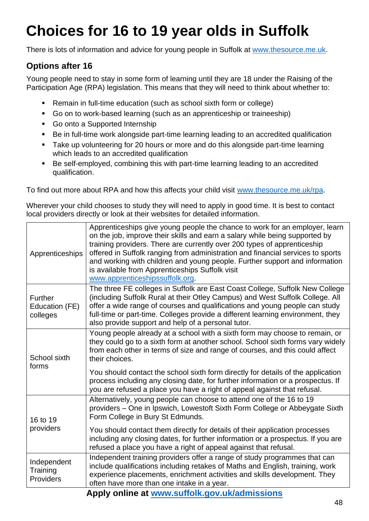## <span id="page-47-0"></span>**Choices for 16 to 19 year olds in Suffolk**

There is lots of information and advice for young people in Suffolk at [www.thesource.me.uk.](http://www.thesource.me.uk/)

## **Options after 16**

Young people need to stay in some form of learning until they are 18 under the Raising of the Participation Age (RPA) legislation. This means that they will need to think about whether to:

- Remain in full-time education (such as school sixth form or college)
- Go on to work-based learning (such as an apprenticeship or traineeship)
- Go onto a Supported Internship
- Be in full-time work alongside part-time learning leading to an accredited qualification
- Take up volunteering for 20 hours or more and do this alongside part-time learning which leads to an accredited qualification
- Be self-employed, combining this with part-time learning leading to an accredited qualification.

To find out more about RPA and how this affects your child visit [www.thesource.me.uk/rpa.](http://www.thesource.me.uk/rpa)

Wherever your child chooses to study they will need to apply in good time. It is best to contact local providers directly or look at their websites for detailed information.

| Apprenticeships                              | Apprenticeships give young people the chance to work for an employer, learn<br>on the job, improve their skills and earn a salary while being supported by<br>training providers. There are currently over 200 types of apprenticeship<br>offered in Suffolk ranging from administration and financial services to sports<br>and working with children and young people. Further support and information<br>is available from Apprenticeships Suffolk visit<br>www.apprenticeshipssuffolk.org.                      |
|----------------------------------------------|---------------------------------------------------------------------------------------------------------------------------------------------------------------------------------------------------------------------------------------------------------------------------------------------------------------------------------------------------------------------------------------------------------------------------------------------------------------------------------------------------------------------|
| <b>Further</b><br>Education (FE)<br>colleges | The three FE colleges in Suffolk are East Coast College, Suffolk New College<br>(including Suffolk Rural at their Otley Campus) and West Suffolk College. All<br>offer a wide range of courses and qualifications and young people can study<br>full-time or part-time. Colleges provide a different learning environment, they<br>also provide support and help of a personal tutor.                                                                                                                               |
| School sixth<br>forms                        | Young people already at a school with a sixth form may choose to remain, or<br>they could go to a sixth form at another school. School sixth forms vary widely<br>from each other in terms of size and range of courses, and this could affect<br>their choices.<br>You should contact the school sixth form directly for details of the application<br>process including any closing date, for further information or a prospectus. If<br>you are refused a place you have a right of appeal against that refusal. |
| 16 to 19<br>providers                        | Alternatively, young people can choose to attend one of the 16 to 19<br>providers - One in Ipswich, Lowestoft Sixth Form College or Abbeygate Sixth<br>Form College in Bury St Edmunds.<br>You should contact them directly for details of their application processes<br>including any closing dates, for further information or a prospectus. If you are<br>refused a place you have a right of appeal against that refusal.                                                                                      |
| Independent<br>Training<br>Providers         | Independent training providers offer a range of study programmes that can<br>include qualifications including retakes of Maths and English, training, work<br>experience placements, enrichment activities and skills development. They<br>often have more than one intake in a year.                                                                                                                                                                                                                               |
|                                              | Apply online at www.suffolk.gov.uk/admissions                                                                                                                                                                                                                                                                                                                                                                                                                                                                       |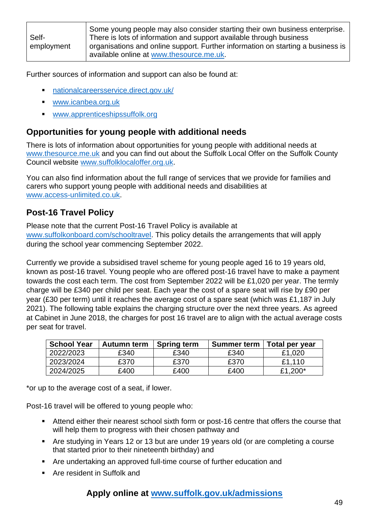|            | Some young people may also consider starting their own business enterprise.     |
|------------|---------------------------------------------------------------------------------|
| Self-      | There is lots of information and support available through business             |
| employment | organisations and online support. Further information on starting a business is |
|            | available online at www.thesource.me.uk.                                        |

Further sources of information and support can also be found at:

- [nationalcareersservice.direct.gov.uk/](http://nationalcareersservice.direct.gov.uk/)
- [www.icanbea.org.uk](http://www.icanbea.org.uk/)
- [www.apprenticeshipssuffolk.org](http://www.apprenticeshipssuffolk.org/)

### **Opportunities for young people with additional needs**

There is lots of information about opportunities for young people with additional needs at [www.thesource.me.uk](http://www.thesource.me.uk/) and you can find out about the Suffolk Local Offer on the Suffolk County Council website [www.suffolklocaloffer.org.uk.](http://www.suffolklocaloffer.org.uk/)

You can also find information about the full range of services that we provide for families and carers who support young people with additional needs and disabilities at [www.access-unlimited.co.uk.](https://www.access-unlimited.co.uk/)

## <span id="page-48-0"></span>**Post-16 Travel Policy**

Please note that the current Post-16 Travel Policy is available at [www.suffolkonboard.com/schooltravel.](http://www.suffolkonboard.com/schooltravel) This policy details the arrangements that will apply during the school year commencing September 2022.

Currently we provide a subsidised travel scheme for young people aged 16 to 19 years old, known as post-16 travel. Young people who are offered post-16 travel have to make a payment towards the cost each term. The cost from September 2022 will be £1,020 per year. The termly charge will be £340 per child per seat. Each year the cost of a spare seat will rise by £90 per year (£30 per term) until it reaches the average cost of a spare seat (which was £1,187 in July 2021). The following table explains the charging structure over the next three years. As agreed at Cabinet in June 2018, the charges for post 16 travel are to align with the actual average costs per seat for travel.

| <b>School Year</b> | Autumn term | <b>Spring term</b> | <b>Summer term</b> | Total per year |
|--------------------|-------------|--------------------|--------------------|----------------|
| 2022/2023          | £340        | £340               | £340               | £1,020         |
| 2023/2024          | £370        | £370               | £370               | £1.110         |
| 2024/2025          | £400        | £400               | £400               | £1,200*        |

\*or up to the average cost of a seat, if lower.

Post-16 travel will be offered to young people who:

- **EXECT** Attend either their nearest school sixth form or post-16 centre that offers the course that will help them to progress with their chosen pathway and
- Are studying in Years 12 or 13 but are under 19 years old (or are completing a course that started prior to their nineteenth birthday) and
- Are undertaking an approved full-time course of further education and
- Are resident in Suffolk and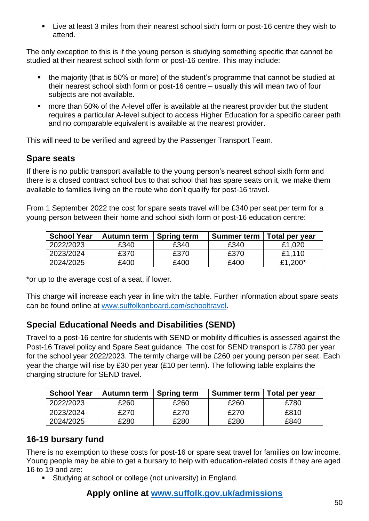▪ Live at least 3 miles from their nearest school sixth form or post-16 centre they wish to attend.

The only exception to this is if the young person is studying something specific that cannot be studied at their nearest school sixth form or post-16 centre. This may include:

- the majority (that is 50% or more) of the student's programme that cannot be studied at their nearest school sixth form or post-16 centre – usually this will mean two of four subjects are not available.
- more than 50% of the A-level offer is available at the nearest provider but the student requires a particular A-level subject to access Higher Education for a specific career path and no comparable equivalent is available at the nearest provider.

This will need to be verified and agreed by the Passenger Transport Team.

## **Spare seats**

If there is no public transport available to the young person's nearest school sixth form and there is a closed contract school bus to that school that has spare seats on it, we make them available to families living on the route who don't qualify for post-16 travel.

From 1 September 2022 the cost for spare seats travel will be £340 per seat per term for a young person between their home and school sixth form or post-16 education centre:

| <b>School Year</b> | Autumn term | <b>Spring term</b> | <b>Summer term</b> | Total per year |
|--------------------|-------------|--------------------|--------------------|----------------|
| 2022/2023          | £340        | £340               | £340               | £1,020         |
| 2023/2024          | £370        | £370               | £370               | £1.110         |
| 2024/2025          | £400        | £400               | £400               | £1,200*        |

\*or up to the average cost of a seat, if lower.

This charge will increase each year in line with the table. Further information about spare seats can be found online at [www.suffolkonboard.com/schooltravel.](http://www.suffolkonboard.com/schooltravel)

## **Special Educational Needs and Disabilities (SEND)**

Travel to a post-16 centre for students with SEND or mobility difficulties is assessed against the Post-16 Travel policy and Spare Seat guidance. The cost for SEND transport is £780 per year for the school year 2022/2023. The termly charge will be £260 per young person per seat. Each year the charge will rise by £30 per year (£10 per term). The following table explains the charging structure for SEND travel.

| <b>School Year</b> | Autumn term | <b>Spring term</b> | <b>Summer term</b> | Total per year |
|--------------------|-------------|--------------------|--------------------|----------------|
| 2022/2023          | £260        | £260               | £260               | £780           |
| 2023/2024          | £270        | £270               | £270               | £810           |
| 2024/2025          | £280        | £280               | £280               | £840           |

## **16-19 bursary fund**

There is no exemption to these costs for post-16 or spare seat travel for families on low income. Young people may be able to get a bursary to help with education-related costs if they are aged 16 to 19 and are:

Studying at school or college (not university) in England.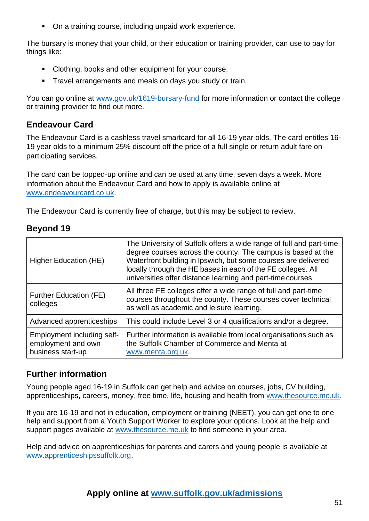■ On a training course, including unpaid work experience.

The bursary is money that your child, or their education or training provider, can use to pay for things like:

- Clothing, books and other equipment for your course.
- **E** Travel arrangements and meals on days you study or train.

You can go online at [www.gov.uk/1619-bursary-fund](http://www.gov.uk/1619-bursary-fund) for more information or contact the college or training provider to find out more.

## **Endeavour Card**

The Endeavour Card is a cashless travel smartcard for all 16-19 year olds. The card entitles 16- 19 year olds to a minimum 25% discount off the price of a full single or return adult fare on participating services.

The card can be topped-up online and can be used at any time, seven days a week. More information about the Endeavour Card and how to apply is available online at [www.endeavourcard.co.uk.](http://www.endeavourcard.co.uk/)

The Endeavour Card is currently free of charge, but this may be subject to review.

### **Beyond 19**

| Higher Education (HE)                                                 | The University of Suffolk offers a wide range of full and part-time<br>degree courses across the county. The campus is based at the<br>Waterfront building in Ipswich, but some courses are delivered<br>locally through the HE bases in each of the FE colleges. All<br>universities offer distance learning and part-time courses. |
|-----------------------------------------------------------------------|--------------------------------------------------------------------------------------------------------------------------------------------------------------------------------------------------------------------------------------------------------------------------------------------------------------------------------------|
| <b>Further Education (FE)</b><br>colleges                             | All three FE colleges offer a wide range of full and part-time<br>courses throughout the county. These courses cover technical<br>as well as academic and leisure learning.                                                                                                                                                          |
| Advanced apprenticeships                                              | This could include Level 3 or 4 qualifications and/or a degree.                                                                                                                                                                                                                                                                      |
| Employment including self-<br>employment and own<br>business start-up | Further information is available from local organisations such as<br>the Suffolk Chamber of Commerce and Menta at<br>www.menta.org.uk.                                                                                                                                                                                               |

### **Further information**

Young people aged 16-19 in Suffolk can get help and advice on courses, jobs, CV building, apprenticeships, careers, money, free time, life, housing and health from [www.thesource.me.uk.](http://www.thesource.me.uk/)

If you are 16-19 and not in education, employment or training (NEET), you can get one to one help and support from a Youth Support Worker to explore your options. Look at the help and support pages available at [www.thesource.me.uk](http://www.thesource.me.uk/) to find someone in your area.

Help and advice on apprenticeships for parents and carers and young people is available at [www.apprenticeshipssuffolk.org.](http://www.apprenticeshipssuffolk.org/)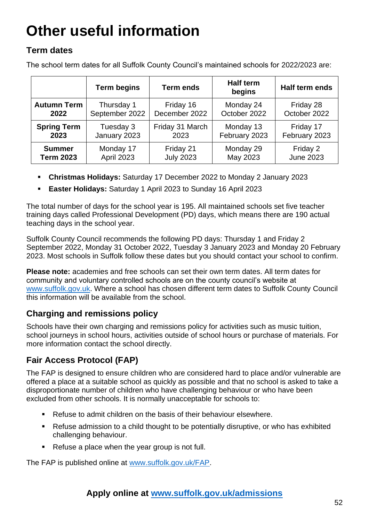## <span id="page-51-0"></span>**Other useful information**

## **Term dates**

The school term dates for all Suffolk County Council's maintained schools for 2022/2023 are:

|                    | <b>Term begins</b> | <b>Term ends</b> | <b>Half term</b><br>begins | Half term ends   |
|--------------------|--------------------|------------------|----------------------------|------------------|
| <b>Autumn Term</b> | Thursday 1         | Friday 16        | Monday 24                  | Friday 28        |
| 2022               | September 2022     | December 2022    | October 2022               | October 2022     |
| <b>Spring Term</b> | Tuesday 3          | Friday 31 March  | Monday 13                  | Friday 17        |
| 2023               | January 2023       | 2023             | February 2023              | February 2023    |
| <b>Summer</b>      | Monday 17          | Friday 21        | Monday 29                  | Friday 2         |
| <b>Term 2023</b>   | April 2023         | <b>July 2023</b> | May 2023                   | <b>June 2023</b> |

- **Christmas Holidays:** Saturday 17 December 2022 to Monday 2 January 2023
- **Easter Holidays:** Saturday 1 April 2023 to Sunday 16 April 2023

The total number of days for the school year is 195. All maintained schools set five teacher training days called Professional Development (PD) days, which means there are 190 actual teaching days in the school year.

Suffolk County Council recommends the following PD days: Thursday 1 and Friday 2 September 2022, Monday 31 October 2022, Tuesday 3 January 2023 and Monday 20 February 2023. Most schools in Suffolk follow these dates but you should contact your school to confirm.

**Please note:** academies and free schools can set their own term dates. All term dates for community and voluntary controlled schools are on the county council's website at [www.suffolk.gov.uk.](http://www.suffolk.gov.uk/) Where a school has chosen different term dates to Suffolk County Council this information will be available from the school.

## <span id="page-51-1"></span>**Charging and remissions policy**

Schools have their own charging and remissions policy for activities such as music tuition, school journeys in school hours, activities outside of school hours or purchase of materials. For more information contact the school directly.

## <span id="page-51-2"></span>**Fair Access Protocol (FAP)**

The FAP is designed to ensure children who are considered hard to place and/or vulnerable are offered a place at a suitable school as quickly as possible and that no school is asked to take a disproportionate number of children who have challenging behaviour or who have been excluded from other schools. It is normally unacceptable for schools to:

- Refuse to admit children on the basis of their behaviour elsewhere.
- Refuse admission to a child thought to be potentially disruptive, or who has exhibited challenging behaviour.
- Refuse a place when the year group is not full.

The FAP is published online at [www.suffolk.gov.uk/FAP.](http://www.suffolk.gov.uk/FAP)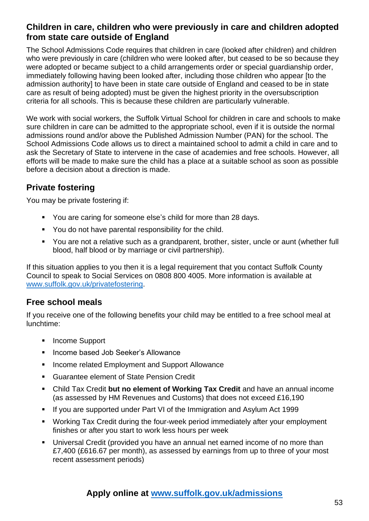### <span id="page-52-0"></span>**Children in care, children who were previously in care and children adopted from state care outside of England**

The School Admissions Code requires that children in care (looked after children) and children who were previously in care (children who were looked after, but ceased to be so because they were adopted or became subject to a child arrangements order or special guardianship order, immediately following having been looked after, including those children who appear [to the admission authority] to have been in state care outside of England and ceased to be in state care as result of being adopted) must be given the highest priority in the oversubscription criteria for all schools. This is because these children are particularly vulnerable.

We work with social workers, the Suffolk Virtual School for children in care and schools to make sure children in care can be admitted to the appropriate school, even if it is outside the normal admissions round and/or above the Published Admission Number (PAN) for the school. The School Admissions Code allows us to direct a maintained school to admit a child in care and to ask the Secretary of State to intervene in the case of academies and free schools. However, all efforts will be made to make sure the child has a place at a suitable school as soon as possible before a decision about a direction is made.

## <span id="page-52-1"></span>**Private fostering**

You may be private fostering if:

- You are caring for someone else's child for more than 28 days.
- You do not have parental responsibility for the child.
- You are not a relative such as a grandparent, brother, sister, uncle or aunt (whether full blood, half blood or by marriage or civil partnership).

If this situation applies to you then it is a legal requirement that you contact Suffolk County Council to speak to Social Services on 0808 800 4005. More information is available at [www.suffolk.gov.uk/privatefostering.](http://www.suffolk.gov.uk/privatefostering)

#### <span id="page-52-2"></span>**Free school meals**

If you receive one of the following benefits your child may be entitled to a free school meal at lunchtime:

- Income Support
- Income based Job Seeker's Allowance
- Income related Employment and Support Allowance
- Guarantee element of State Pension Credit
- Child Tax Credit **but no element of Working Tax Credit** and have an annual income (as assessed by HM Revenues and Customs) that does not exceed £16,190
- If you are supported under Part VI of the Immigration and Asylum Act 1999
- Working Tax Credit during the four-week period immediately after your employment finishes or after you start to work less hours per week
- **■** Universal Credit (provided you have an annual net earned income of no more than £7,400 (£616.67 per month), as assessed by earnings from up to three of your most recent assessment periods)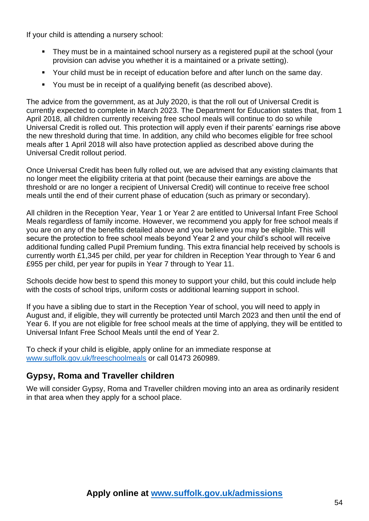If your child is attending a nursery school:

- They must be in a maintained school nursery as a registered pupil at the school (your provision can advise you whether it is a maintained or a private setting).
- Your child must be in receipt of education before and after lunch on the same day.
- You must be in receipt of a qualifying benefit (as described above).

The advice from the government, as at July 2020, is that the roll out of Universal Credit is currently expected to complete in March 2023. The Department for Education states that, from 1 April 2018, all children currently receiving free school meals will continue to do so while Universal Credit is rolled out. This protection will apply even if their parents' earnings rise above the new threshold during that time. In addition, any child who becomes eligible for free school meals after 1 April 2018 will also have protection applied as described above during the Universal Credit rollout period.

Once Universal Credit has been fully rolled out, we are advised that any existing claimants that no longer meet the eligibility criteria at that point (because their earnings are above the threshold or are no longer a recipient of Universal Credit) will continue to receive free school meals until the end of their current phase of education (such as primary or secondary).

All children in the Reception Year, Year 1 or Year 2 are entitled to Universal Infant Free School Meals regardless of family income. However, we recommend you apply for free school meals if you are on any of the benefits detailed above and you believe you may be eligible. This will secure the protection to free school meals beyond Year 2 and your child's school will receive additional funding called Pupil Premium funding. This extra financial help received by schools is currently worth £1,345 per child, per year for children in Reception Year through to Year 6 and £955 per child, per year for pupils in Year 7 through to Year 11.

Schools decide how best to spend this money to support your child, but this could include help with the costs of school trips, uniform costs or additional learning support in school.

If you have a sibling due to start in the Reception Year of school, you will need to apply in August and, if eligible, they will currently be protected until March 2023 and then until the end of Year 6. If you are not eligible for free school meals at the time of applying, they will be entitled to Universal Infant Free School Meals until the end of Year 2.

To check if your child is eligible, apply online for an immediate response at [www.suffolk.gov.uk/freeschoolmeals](http://www.suffolk.gov.uk/freeschoolmeals) or call 01473 260989.

## <span id="page-53-0"></span>**Gypsy, Roma and Traveller children**

We will consider Gypsy, Roma and Traveller children moving into an area as ordinarily resident in that area when they apply for a school place.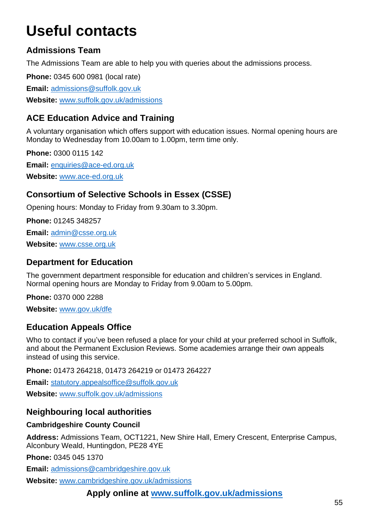## <span id="page-54-0"></span>**Useful contacts**

## **Admissions Team**

The Admissions Team are able to help you with queries about the admissions process.

**Phone:** 0345 600 0981 (local rate)

**Email:** [admissions@suffolk.gov.uk](mailto:admissions@suffolk.gov.uk)

**Website:** [www.suffolk.gov.uk/admissions](http://www.suffolk.gov.uk/admissions)

## **ACE Education Advice and Training**

A voluntary organisation which offers support with education issues. Normal opening hours are Monday to Wednesday from 10.00am to 1.00pm, term time only.

**Phone:** 0300 0115 142 **Email:** [enquiries@ace-ed.org.uk](mailto:enquiries@ace-ed.org.uk)

**Website:** [www.ace-ed.org.uk](http://www.ace-ed.org.uk/)

## **Consortium of Selective Schools in Essex (CSSE)**

Opening hours: Monday to Friday from 9.30am to 3.30pm.

**Phone:** 01245 348257 **Email:** [admin@csse.org.uk](mailto:admin@csse.org.uk) **Website:** [www.csse.org.uk](http://www.csse.org.uk/)

### **Department for Education**

The government department responsible for education and children's services in England. Normal opening hours are Monday to Friday from 9.00am to 5.00pm.

**Phone:** 0370 000 2288

**Website:** [www.gov.uk/dfe](http://www.gov.uk/dfe)

## **Education Appeals Office**

Who to contact if you've been refused a place for your child at your preferred school in Suffolk, and about the Permanent Exclusion Reviews. Some academies arrange their own appeals instead of using this service.

**Phone:** 01473 264218, 01473 264219 or 01473 264227

**Email:** [statutory.appealsoffice@suffolk.gov.uk](mailto:statutory.appealsoffice@suffolk.gov.uk)

**Website:** [www.suffolk.gov.uk/admissions](http://www.suffolk.gov.uk/admissions)

## <span id="page-54-1"></span>**Neighbouring local authorities**

#### **Cambridgeshire County Council**

**Address:** Admissions Team, OCT1221, New Shire Hall, Emery Crescent, Enterprise Campus, Alconbury Weald, Huntingdon, PE28 4YE

**Phone:** 0345 045 1370

**Email:** [admissions@cambridgeshire.gov.uk](mailto:admissions@cambridgeshire.gov.uk)

**Website:** [www.cambridgeshire.gov.uk/admissions](http://www.cambridgeshire.gov.uk/admissions)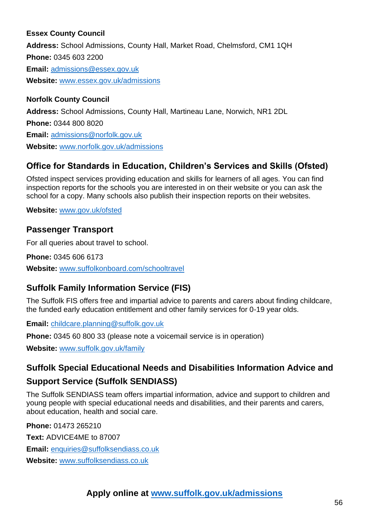#### **Essex County Council**

**Address:** School Admissions, County Hall, Market Road, Chelmsford, CM1 1QH **Phone:** 0345 603 2200 **Email:** [admissions@essex.gov.uk](mailto:admissions@essex.gov.uk) **Website:** [www.essex.gov.uk/admissions](http://www.essex.gov.uk/admissions)

#### **Norfolk County Council**

**Address:** School Admissions, County Hall, Martineau Lane, Norwich, NR1 2DL **Phone:** 0344 800 8020 **Email:** [admissions@norfolk.gov.uk](mailto:admissions@norfolk.gov.uk) **Website:** [www.norfolk.gov.uk/admissions](http://www.norfolk.gov.uk/admissions)

## **Office for Standards in Education, Children's Services and Skills (Ofsted)**

Ofsted inspect services providing education and skills for learners of all ages. You can find inspection reports for the schools you are interested in on their website or you can ask the school for a copy. Many schools also publish their inspection reports on their websites.

**Website:** [www.gov.uk/ofsted](http://www.gov.uk/ofsted)

#### **Passenger Transport**

For all queries about travel to school.

**Phone:** 0345 606 6173 **Website:** [www.suffolkonboard.com/schooltravel](http://www.suffolkonboard.com/schooltravel)

## **Suffolk Family Information Service (FIS)**

The Suffolk FIS offers free and impartial advice to parents and carers about finding childcare, the funded early education entitlement and other family services for 0-19 year olds.

**Email:** [childcare.planning@suffolk.gov.uk](mailto:childcare.planning@suffolk.gov.uk)

**Phone:** 0345 60 800 33 (please note a voicemail service is in operation)

**Website:** [www.suffolk.gov.uk/family](http://www.suffolk.gov.uk/family)

### **Suffolk Special Educational Needs and Disabilities Information Advice and**

### **Support Service (Suffolk SENDIASS)**

The Suffolk SENDIASS team offers impartial information, advice and support to children and young people with special educational needs and disabilities, and their parents and carers, about education, health and social care.

**Phone:** 01473 265210

**Text:** ADVICE4ME to 87007 **Email:** [enquiries@suffolksendiass.co.uk](mailto:enquiries@suffolksendiass.co.uk)

**Website:** [www.suffolksendiass.co.uk](http://www.suffolksendiass.co.uk/)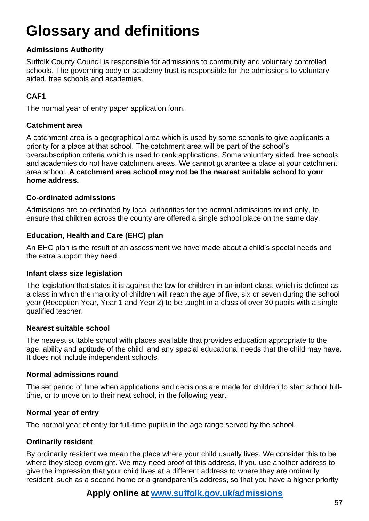## <span id="page-56-0"></span>**Glossary and definitions**

#### **Admissions Authority**

Suffolk County Council is responsible for admissions to community and voluntary controlled schools. The governing body or academy trust is responsible for the admissions to voluntary aided, free schools and academies.

### **CAF1**

The normal year of entry paper application form.

#### <span id="page-56-1"></span>**Catchment area**

A catchment area is a geographical area which is used by some schools to give applicants a priority for a place at that school. The catchment area will be part of the school's oversubscription criteria which is used to rank applications. Some voluntary aided, free schools and academies do not have catchment areas. We cannot guarantee a place at your catchment area school. **A catchment area school may not be the nearest suitable school to your home address.** 

#### **Co-ordinated admissions**

Admissions are co-ordinated by local authorities for the normal admissions round only, to ensure that children across the county are offered a single school place on the same day.

#### **Education, Health and Care (EHC) plan**

An EHC plan is the result of an assessment we have made about a child's special needs and the extra support they need.

#### **Infant class size legislation**

The legislation that states it is against the law for children in an infant class, which is defined as a class in which the majority of children will reach the age of five, six or seven during the school year (Reception Year, Year 1 and Year 2) to be taught in a class of over 30 pupils with a single qualified teacher.

#### **Nearest suitable school**

The nearest suitable school with places available that provides education appropriate to the age, ability and aptitude of the child, and any special educational needs that the child may have. It does not include independent schools.

#### **Normal admissions round**

The set period of time when applications and decisions are made for children to start school fulltime, or to move on to their next school, in the following year.

#### **Normal year of entry**

The normal year of entry for full-time pupils in the age range served by the school.

#### **Ordinarily resident**

By ordinarily resident we mean the place where your child usually lives. We consider this to be where they sleep overnight. We may need proof of this address. If you use another address to give the impression that your child lives at a different address to where they are ordinarily resident, such as a second home or a grandparent's address, so that you have a higher priority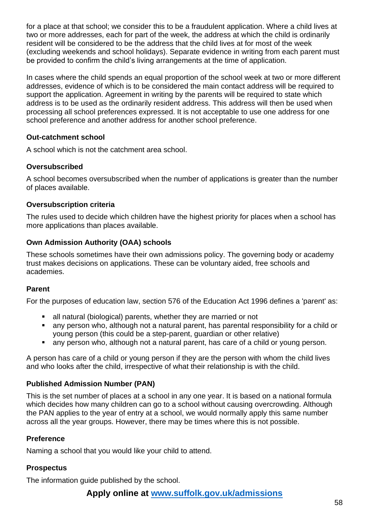for a place at that school; we consider this to be a fraudulent application. Where a child lives at two or more addresses, each for part of the week, the address at which the child is ordinarily resident will be considered to be the address that the child lives at for most of the week (excluding weekends and school holidays). Separate evidence in writing from each parent must be provided to confirm the child's living arrangements at the time of application.

In cases where the child spends an equal proportion of the school week at two or more different addresses, evidence of which is to be considered the main contact address will be required to support the application. Agreement in writing by the parents will be required to state which address is to be used as the ordinarily resident address. This address will then be used when processing all school preferences expressed. It is not acceptable to use one address for one school preference and another address for another school preference.

#### **Out-catchment school**

A school which is not the catchment area school.

#### **Oversubscribed**

A school becomes oversubscribed when the number of applications is greater than the number of places available.

#### **Oversubscription criteria**

The rules used to decide which children have the highest priority for places when a school has more applications than places available.

#### **Own Admission Authority (OAA) schools**

These schools sometimes have their own admissions policy. The governing body or academy trust makes decisions on applications. These can be voluntary aided, free schools and academies.

#### **Parent**

For the purposes of education law, section 576 of the Education Act 1996 defines a 'parent' as:

- all natural (biological) parents, whether they are married or not
- any person who, although not a natural parent, has parental responsibility for a child or young person (this could be a step-parent, guardian or other relative)
- any person who, although not a natural parent, has care of a child or young person.

A person has care of a child or young person if they are the person with whom the child lives and who looks after the child, irrespective of what their relationship is with the child.

#### **Published Admission Number (PAN)**

This is the set number of places at a school in any one year. It is based on a national formula which decides how many children can go to a school without causing overcrowding. Although the PAN applies to the year of entry at a school, we would normally apply this same number across all the year groups. However, there may be times where this is not possible.

#### **Preference**

Naming a school that you would like your child to attend.

#### **Prospectus**

The information guide published by the school.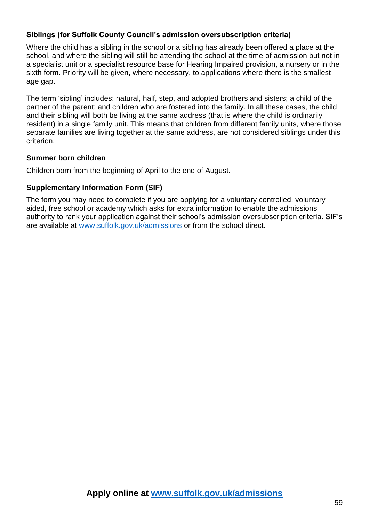#### **Siblings (for Suffolk County Council's admission oversubscription criteria)**

Where the child has a sibling in the school or a sibling has already been offered a place at the school, and where the sibling will still be attending the school at the time of admission but not in a specialist unit or a specialist resource base for Hearing Impaired provision, a nursery or in the sixth form. Priority will be given, where necessary, to applications where there is the smallest age gap.

The term 'sibling' includes: natural, half, step, and adopted brothers and sisters; a child of the partner of the parent; and children who are fostered into the family. In all these cases, the child and their sibling will both be living at the same address (that is where the child is ordinarily resident) in a single family unit. This means that children from different family units, where those separate families are living together at the same address, are not considered siblings under this criterion.

#### **Summer born children**

Children born from the beginning of April to the end of August.

#### **Supplementary Information Form (SIF)**

The form you may need to complete if you are applying for a voluntary controlled, voluntary aided, free school or academy which asks for extra information to enable the admissions authority to rank your application against their school's admission oversubscription criteria. SIF's are available at [www.suffolk.gov.uk/admissions](http://www.suffolk.gov.uk/admissions) or from the school direct.